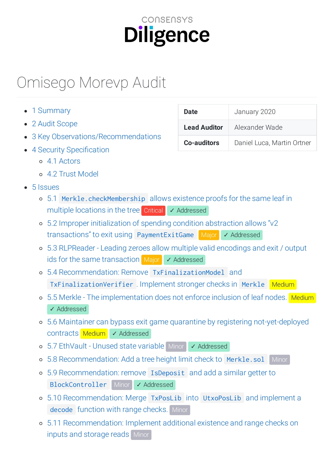# CONSENSYS **Diligence**

# Omisego Morevp Audit

|  | 1 Summary |
|--|-----------|
|--|-----------|

- 2 Audit [Scope](#page-1-1)
- 3 Key [Observations/Recommendations](#page-2-0)
- $\bullet$  4 Security Specification
	- 4.1 [Actors](#page-4-0)
	- 4.2 Trust [Model](#page-4-1)
- 5 [Issues](#page-6-0)
	- 5.1 [Merkle.checkMembership](#page-6-1) allows existence proofs for the same leaf in multiple locations in the tree Critical √ Addressed
	- 5.2 Improper initialization of spending condition abstraction allows "v2 transactions" to exit using [PaymentExitGame](#page-9-0) Major / Addressed
	- 5.3 RLPReader Leading zeroes allow multiple valid encodings and exit / output ids for the same [transaction](#page-15-0) Major ✓ Addressed
	- 5.4 Recommendation: Remove TxFinalizationModel and [TxFinalizationVerifier](#page-19-0) . Implement stronger checks in Merkle Medium
	- o 5.5 Merkle The [implementation](#page-23-0) does not enforce inclusion of leaf nodes. Medium ✓ Addressed
	- 5.6 Maintainer can bypass exit game quarantine by registering [not-yet-deployed](#page-24-0) contracts Medium ✓ Addressed
	- 5.7 [EthVault](#page-29-0) Unused state variable Minor ✓ Addressed
	- 5.8 [Recommendation:](#page-30-0) Add a tree height limit check to Merkle.sol Minor
	- 5.9 [Recommendation:](#page-30-1) remove IsDeposit and add a similar getter to BlockController Minor √ Addressed
	- 5.10 [Recommendation:](#page-31-0) Merge TxPosLib into UtxoPosLib and implement a decode function with range checks. Minor
	- 5.11 [Recommendation:](#page-32-0) Implement additional existence and range checks on inputs and storage reads Minor

| Date                | January 2020               |  |  |
|---------------------|----------------------------|--|--|
| <b>Lead Auditor</b> | Alexander Wade             |  |  |
| <b>Co-auditors</b>  | Daniel Luca, Martin Ortner |  |  |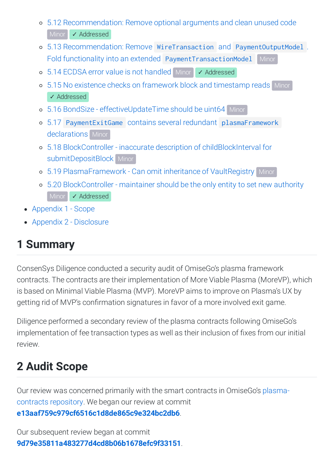- 5.12 [Recommendation:](#page-43-0) Remove optional arguments and clean unused code Minor **/ ∧** Addressed
- 5.13 Recommendation: Remove WireTransaction and PaymentOutputModel . Fold functionality into an extended [PaymentTransactionModel](#page-46-0) Minor
- 5.14 ECDSA error value is not [handled](#page-47-0) Minor ✓ Addressed
- o 5.15 No existence checks on framework block and [timestamp](#page-48-0) reads Minor ✓ Addressed
- 5.16 BondSize [effectiveUpdateTime](#page-49-0) should be uint64 Minor
- 5.17 [PaymentExitGame](#page-50-0) contains several redundant plasmaFramework declarations Minor
- 5.18 BlockController inaccurate description of childBlockInterval for [submitDepositBlock](#page-51-0) Minor
- o 5.19 [PlasmaFramework](#page-52-0) Can omit inheritance of VaultRegistry Minor
- 5.20 [BlockController](#page-53-0) maintainer should be the only entity to set new authority Minor ✓ Addressed
- [Appendix](#page-54-0) 1 Scope
- Appendix 2 [Disclosure](#page-59-0)

# <span id="page-1-0"></span>**1 Summary**

ConsenSys Diligence conducted a security audit of OmiseGo's plasma framework contracts. The contracts are their implementation of More Viable Plasma (MoreVP), which is based on Minimal Viable Plasma (MVP). MoreVP aims to improve on Plasma's UX by getting rid of MVP's confirmation signatures in favor of a more involved exit game.

Diligence performed a secondary review of the plasma contracts following OmiseGo's implementation of fee transaction types as well as their inclusion of fixes from our initial review.

# <span id="page-1-1"></span>**2 Audit Scope**

Our review was concerned primarily with the smart contracts in OmiseGo's plasmacontracts [repository.](https://github.com/omisego/plasma-contracts) We began our review at commit **[e13aaf759c979cf6516c1d8de865c9e324bc2db6](https://github.com/omisego/plasma-contracts/commit/e13aaf759c979cf6516c1d8de865c9e324bc2db6)**.

Our subsequent review began at commit **[9d79e35811a483277d4cd8b06b1678efc9f33151](https://github.com/omisego/plasma-contracts/commit/9d79e35811a483277d4cd8b06b1678efc9f33151)**.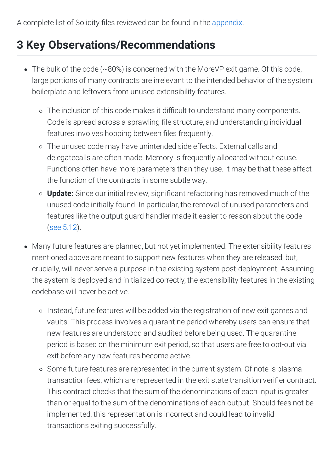A complete list of Solidity files reviewed can be found in the [appendix](#page-54-0).

# <span id="page-2-0"></span>**3 Key Observations/Recommendations**

- The bulk of the code (~80%) is concerned with the MoreVP exit game. Of this code, large portions of many contracts are irrelevant to the intended behavior of the system: boilerplate and leftovers from unused extensibility features.
	- o The inclusion of this code makes it difficult to understand many components. Code is spread across a sprawling file structure, and understanding individual features involves hopping between files frequently.
	- The unused code may have unintended side effects. External calls and delegatecalls are often made. Memory is frequently allocated without cause. Functions often have more parameters than they use. It may be that these affect the function of the contracts in some subtle way.
	- **Update:** Since our initial review, significant refactoring has removed much of the unused code initially found. In particular, the removal of unused parameters and features like the output guard handler made it easier to reason about the code (see [5.12](#page-43-0)).
- Many future features are planned, but not yet implemented. The extensibility features mentioned above are meant to support new features when they are released, but, crucially, will never serve a purpose in the existing system post-deployment. Assuming the system is deployed and initialized correctly, the extensibility features in the existing codebase will never be active.
	- Instead, future features will be added via the registration of new exit games and vaults. This process involves a quarantine period whereby users can ensure that new features are understood and audited before being used. The quarantine period is based on the minimum exit period, so that users are free to opt-out via exit before any new features become active.
	- Some future features are represented in the current system. Of note is plasma transaction fees, which are represented in the exit state transition verifier contract. This contract checks that the sum of the denominations of each input is greater than or equal to the sum of the denominations of each output. Should fees not be implemented, this representation is incorrect and could lead to invalid transactions exiting successfully.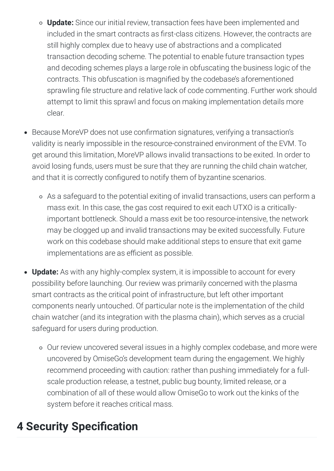- **Update:** Since our initial review, transaction fees have been implemented and included in the smart contracts as first-class citizens. However, the contracts are still highly complex due to heavy use of abstractions and a complicated transaction decoding scheme. The potential to enable future transaction types and decoding schemes plays a large role in obfuscating the business logic of the contracts. This obfuscation is magnified by the codebase's aforementioned sprawling file structure and relative lack of code commenting. Further work should attempt to limit this sprawl and focus on making implementation details more clear.
- Because MoreVP does not use confirmation signatures, verifying a transaction's validity is nearly impossible in the resource-constrained environment of the EVM. To get around this limitation, MoreVP allows invalid transactions to be exited. In order to avoid losing funds, users must be sure that they are running the child chain watcher, and that it is correctly configured to notify them of byzantine scenarios.
	- As a safeguard to the potential exiting of invalid transactions, users can perform a mass exit. In this case, the gas cost required to exit each UTXO is a criticallyimportant bottleneck. Should a mass exit be too resource-intensive, the network may be clogged up and invalid transactions may be exited successfully. Future work on this codebase should make additional steps to ensure that exit game implementations are as efficient as possible.
- **Update:** As with any highly-complex system, it is impossible to account for every possibility before launching. Our review was primarily concerned with the plasma smart contracts as the critical point of infrastructure, but left other important components nearly untouched. Of particular note is the implementation of the child chain watcher (and its integration with the plasma chain), which serves as a crucial safeguard for users during production.
	- Our review uncovered several issues in a highly complex codebase, and more were uncovered by OmiseGo's development team during the engagement. We highly recommend proceeding with caution: rather than pushing immediately for a fullscale production release, a testnet, public bug bounty, limited release, or a combination of all of these would allow OmiseGo to work out the kinks of the system before it reaches critical mass.

# <span id="page-3-0"></span>**4 Security Specification**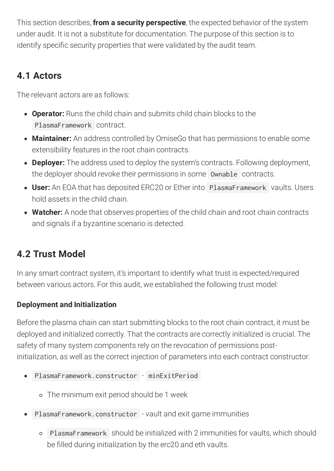This section describes, **from a security perspective**, the expected behavior of the system under audit. It is not a substitute for documentation. The purpose of this section is to identify specific security properties that were validated by the audit team.

# <span id="page-4-0"></span>**4.1 Actors**

The relevant actors are as follows:

- **Operator:** Runs the child chain and submits child chain blocks to the PlasmaFramework contract.
- **Maintainer:** An address controlled by OmiseGo that has permissions to enable some extensibility features in the root chain contracts.
- **Deployer:** The address used to deploy the system's contracts. Following deployment, the deployer should revoke their permissions in some Ownable contracts.
- **User:** An EOA that has deposited ERC20 or Ether into PlasmaFramework vaults. Users hold assets in the child chain.
- **Watcher:** A node that observes properties of the child chain and root chain contracts and signals if a byzantine scenario is detected.

# <span id="page-4-1"></span>**4.2 Trust Model**

In any smart contract system, it's important to identify what trust is expected/required between various actors. For this audit, we established the following trust model:

# **Deployment and Initialization**

Before the plasma chain can start submitting blocks to the root chain contract, it must be deployed and initialized correctly. That the contracts are correctly initialized is crucial. The safety of many system components rely on the revocation of permissions postinitialization, as well as the correct injection of parameters into each contract constructor.

- PlasmaFramework.constructor minExitPeriod
	- The minimum exit period should be 1 week
- PlasmaFramework.constructor vault and exit game immunities
	- PlasmaFramework should be initialized with 2 immunities for vaults, which should be filled during initialization by the erc20 and eth vaults.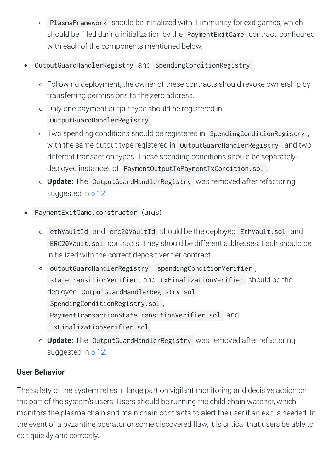- PlasmaFramework should be initialized with 1 immunity for exit games, which should be filled during initialization by the PaymentExitGame contract, configured with each of the components mentioned below.
- OutputGuardHandlerRegistry and SpendingConditionRegistry
	- Following deployment, the owner of these contracts should revoke ownership by transferring permissions to the zero address.
	- Only one payment output type should be registered in OutputGuardHandlerRegistry .
	- Two spending conditions should be registered in SpendingConditionRegistry , with the same output type registered in OutputGuardHandlerRegistry, and two different transaction types. These spending conditions should be separatelydeployed instances of PaymentOutputToPaymentTxCondition.sol .
	- **Update:** The OutputGuardHandlerRegistry was removed after refactoring suggested in [5.12.](#page-43-0)
- PaymentExitGame.constructor (args)
	- ethVaultId and erc20VaultId should be the deployed EthVault.sol and ERC20Vault.sol contracts. They should be different addresses. Each should be initialized with the correct deposit verifier contract.
	- outputGuardHandlerRegistry , spendingConditionVerifier , stateTransitionVerifier , and txFinalizationVerifier should be the deployed OutputGuardHandlerRegistry.sol , SpendingConditionRegistry.sol , PaymentTransactionStateTransitionVerifier.sol , and TxFinalizationVerifier.sol
	- **Update:** The OutputGuardHandlerRegistry was removed after refactoring suggested in [5.12.](#page-43-0)

# **User Behavior**

The safety of the system relies in large part on vigilant monitoring and decisive action on the part of the system's users. Users should be running the child chain watcher, which monitors the plasma chain and main chain contracts to alert the user if an exit is needed. In the event of a byzantine operator or some discovered flaw, it is critical that users be able to exit quickly and correctly.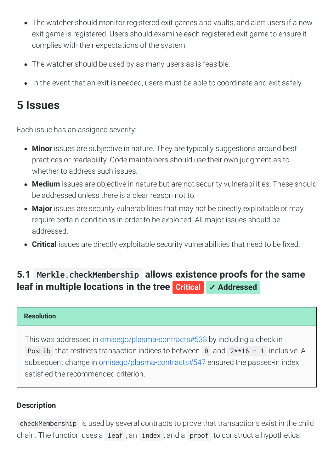- The watcher should monitor registered exit games and vaults, and alert users if a new exit game is registered. Users should examine each registered exit game to ensure it complies with their expectations of the system.
- The watcher should be used by as many users as is feasible.
- In the event that an exit is needed, users must be able to coordinate and exit safely.

# <span id="page-6-0"></span>**5 Issues**

Each issue has an assigned severity:

- **Minor** issues are subjective in nature. They are typically suggestions around best practices or readability. Code maintainers should use their own judgment as to whether to address such issues.
- **Medium** issues are objective in nature but are not security vulnerabilities. These should be addressed unless there is a clear reason not to.
- **Major** issues are security vulnerabilities that may not be directly exploitable or may require certain conditions in order to be exploited. All major issues should be addressed.
- Critical issues are directly exploitable security vulnerabilities that need to be fixed.

# <span id="page-6-1"></span>**5.1 [Merkle.checkMembership](#page-6-1) allows existence proofs for the same leaf in multiple locations in the tree Critical** ✓ **Addressed**

#### **Resolution**

This was addressed in [omisego/plasma-contracts#533](https://github.com/omisego/plasma-contracts/pull/533) by including a check in PosLib that restricts transaction indices to between 0 and  $2**16 - 1$  inclusive. A subsequent change in [omisego/plasma-contracts#547](https://github.com/omisego/plasma-contracts/pull/547) ensured the passed-in index satisfied the recommended criterion.

# **Description**

checkMembership is used by several contracts to prove that transactions exist in the child chain. The function uses a leaf , an index , and a proof to construct a hypothetical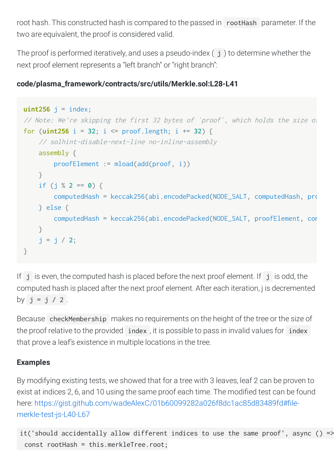root hash. This constructed hash is compared to the passed in rootHash parameter. If the two are equivalent, the proof is considered valid.

The proof is performed iteratively, and uses a pseudo-index  $(j)$  to determine whether the next proof element represents a "left branch" or "right branch":

# **code/plasma\_framework/contracts/src/utils/Merkle.sol:L28-L41**

```
uint256 j = index;// Note: We're skipping the first 32 bytes of `proof`, which holds the size of
for (uint256 i = 32; i <= proof.length; i += 32) {
     // solhint-disable-next-line no-inline-assembly
     assembly {
         proofElement := mload(add(proof, i))
     }
    if (j % 2 == 0) {
       computedHash = keccak256(abi.encodePacked(NODE_SALT, computedHash, pro
     } else {
         computedHash = keccak256(abi.encodePacked(NODE_SALT, proofElement, com
     }
    j = j / 2;
}
```
If  $j$  is even, the computed hash is placed before the next proof element. If  $j$  is odd, the computed hash is placed after the next proof element. After each iteration, j is decremented by  $j = j / 2$ .

Because checkMembership makes no requirements on the height of the tree or the size of the proof relative to the provided index , it is possible to pass in invalid values for index that prove a leaf's existence in multiple locations in the tree.

# **Examples**

By modifying existing tests, we showed that for a tree with 3 leaves, leaf 2 can be proven to exist at indices 2, 6, and 10 using the same proof each time. The modified test can be found here: https://gist.github.com/wadeAlexC/01b60099282a026f8dc1ac85d83489fd#filemerkle-test-js-L40-L67

```
it('should accidentally allow different indices to use the same proof', async () =>
  const rootHash = this.merkleTree.root;
```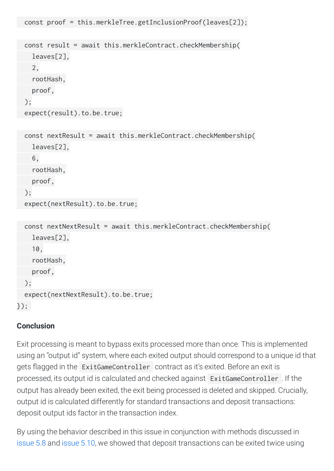```
 const result = await this.merkleContract.checkMembership(
   leaves[2],
   2,
   rootHash,
   proof,
 );
 expect(result).to.be.true;
```
const proof = this.merkleTree.getInclusionProof(leaves[2]);

```
 const nextResult = await this.merkleContract.checkMembership(
   leaves[2],
   6,
   rootHash,
   proof,
 );
 expect(nextResult).to.be.true;
```

```
 const nextNextResult = await this.merkleContract.checkMembership(
     leaves[2],
     10,
     rootHash,
     proof,
   );
   expect(nextNextResult).to.be.true;
});
```
## **Conclusion**

Exit processing is meant to bypass exits processed more than once. This is implemented using an "output id" system, where each exited output should correspond to a unique id that gets flagged in the ExitGameController contract as it's exited. Before an exit is processed, its output id is calculated and checked against ExitGameController . If the output has already been exited, the exit being processed is deleted and skipped. Crucially, output id is calculated differently for standard transactions and deposit transactions: deposit output ids factor in the transaction index.

By using the behavior described in this issue in conjunction with methods discussed in [issue](#page-30-0) 5.8 and [issue](#page-31-0) 5.10, we showed that deposit transactions can be exited twice using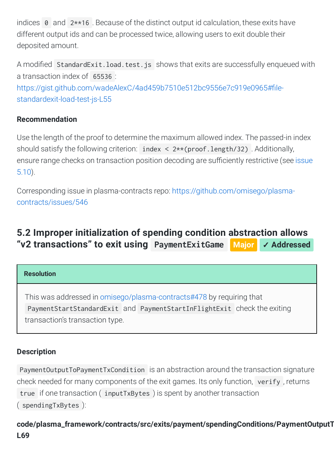indices 0 and 2\*\*16 . Because of the distinct output id calculation, these exits have different output ids and can be processed twice, allowing users to exit double their deposited amount.

A modified StandardExit.load.test.js shows that exits are successfully enqueued with a transaction index of 65536 : https://gist.github.com/wadeAlexC/4ad459b7510e512bc9556e7c919e0965#filestandardexit-load-test-js-L55

# **Recommendation**

Use the length of the proof to determine the maximum allowed index. The passed-in index should satisfy the following criterion: index  $\langle 2**$  (proof. length/32). Additionally, ensure range checks on [transaction](#page-31-0) position decoding are sufficiently restrictive (see issue 5.10).

Corresponding issue in plasma-contracts repo: [https://github.com/omisego/plasma](https://github.com/omisego/plasma-contracts/issues/546)contracts/issues/546

# <span id="page-9-0"></span>**5.2 Improper initialization of spending condition abstraction allows "v2 transactions" to exit using [PaymentExitGame](#page-9-0) Major** ✓ **Addressed**

## **Resolution**

This was addressed in [omisego/plasma-contracts#478](https://github.com/omisego/plasma-contracts/pull/478) by requiring that PaymentStartStandardExit and PaymentStartInFlightExit check the exiting transaction's transaction type.

# **Description**

PaymentOutputToPaymentTxCondition is an abstraction around the transaction signature check needed for many components of the exit games. Its only function, verify , returns true if one transaction ( inputTxBytes ) is spent by another transaction ( spendingTxBytes ):

# **code/plasma\_framework/contracts/src/exits/payment/spendingConditions/PaymentOutputT L69**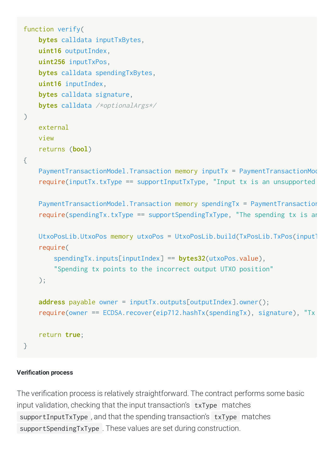```
function verify(
     bytes calldata inputTxBytes,
     uint16 outputIndex,
     uint256 inputTxPos,
     bytes calldata spendingTxBytes,
     uint16 inputIndex,
     bytes calldata signature,
     bytes calldata /*optionalArgs*/
)
     external
     view
     returns (bool)
{
    PaymentTransactionModel.Transaction memory inputTx = PaymentTransactionMod
    require(inputTx.txtType == supportInputTxType, "Input tx is an unsupported PaymentTransactionModel.Transaction memory spendingTx = PaymentTransaction
    require(spendingTx.txtType == supportSpendingTxType, "The spending tx is arUtxoPosLib.UtxoPos memory utxoPos = UtxoPosLib.build(TxPosLib.TxPos(input]
     require(
         spendingTx.inputs[inputIndex] == bytes32(utxoPos.value),
         "Spending tx points to the incorrect output UTXO position"
     );
     address payable owner = inputTx.outputs[outputIndex].owner();
     require(owner == ECDSA.recover(eip712.hashTx(spendingTx), signature), "Tx 
     return true;
}
```
#### **Verication process**

The verification process is relatively straightforward. The contract performs some basic input validation, checking that the input transaction's txType matches supportInputTxType , and that the spending transaction's txType matches supportSpendingTxType . These values are set during construction.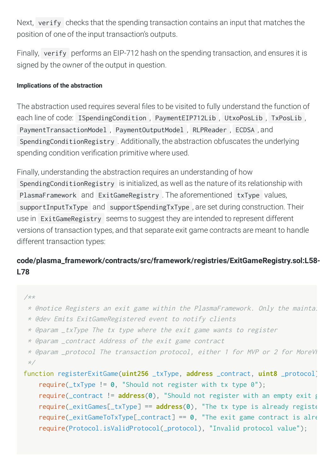Next, verify checks that the spending transaction contains an input that matches the position of one of the input transaction's outputs.

Finally, verify performs an EIP-712 hash on the spending transaction, and ensures it is signed by the owner of the output in question.

#### **Implications of the abstraction**

The abstraction used requires several files to be visited to fully understand the function of each line of code: ISpendingCondition, PaymentEIP712Lib, UtxoPosLib, TxPosLib, PaymentTransactionModel , PaymentOutputModel , RLPReader , ECDSA , and SpendingConditionRegistry . Additionally, the abstraction obfuscates the underlying spending condition verification primitive where used.

Finally, understanding the abstraction requires an understanding of how SpendingConditionRegistry is initialized, as well as the nature of its relationship with PlasmaFramework and ExitGameRegistry . The aforementioned txType values, supportInputTxType and supportSpendingTxType , are set during construction. Their use in ExitGameRegistry seems to suggest they are intended to represent different versions of transaction types, and that separate exit game contracts are meant to handle different transaction types:

# **code/plasma\_framework/contracts/src/framework/registries/ExitGameRegistry.sol:L58- L78**

#### /\*\*

- \* @notice Registers an exit game within the PlasmaFramework. Only the maintai
- \* @dev Emits ExitGameRegistered event to notify clients
- \* @param \_txType The tx type where the exit game wants to register

```
 * @param _contract Address of the exit game contract
```

```
* @param _protocol The transaction protocol, either 1 for MVP or 2 for MoreVI
 */
```
function registerExitGame(**uint256** \_txType, **address** \_contract, **uint8** \_protocol) require(\_txType != **0**, "Should not register with tx type 0"); require(\_contract != **address**(**0**), "Should not register with an empty exit g require(\_exitGames[\_txType] == **address**(**0**), "The tx type is already registe require(\_exitGameToTxType[\_contract] == **0**, "The exit game contract is alre require(Protocol.isValidProtocol(\_protocol), "Invalid protocol value");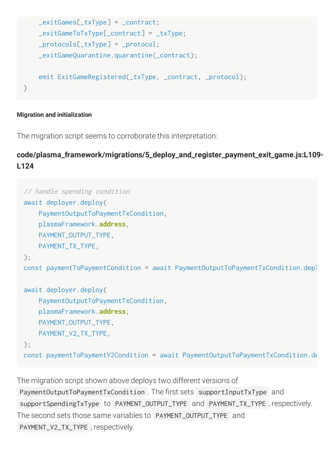```
 _exitGames[_txType] = _contract;
    exitGameToTxType[__contract] = _txType; _protocols[_txType] = _protocol;
     _exitGameQuarantine.quarantine(_contract);
     emit ExitGameRegistered(_txType, _contract, _protocol);
}
```
#### **Migration and initialization**

The migration script seems to corroborate this interpretation:

**code/plasma\_framework/migrations/5\_deploy\_and\_register\_payment\_exit\_game.js:L109- L124**

```
// handle spending condition
await deployer.deploy(
     PaymentOutputToPaymentTxCondition,
     plasmaFramework.address,
     PAYMENT_OUTPUT_TYPE,
     PAYMENT_TX_TYPE,
);
const paymentToPaymentCondition = await PaymentOutputToPaymentTxCondition.depl
await deployer.deploy(
     PaymentOutputToPaymentTxCondition,
     plasmaFramework.address,
     PAYMENT_OUTPUT_TYPE,
     PAYMENT_V2_TX_TYPE,
);
const paymentToPaymentV2Condition = await PaymentOutputToPaymentTxCondition.de
```
The migration script shown above deploys two different versions of PaymentOutputToPaymentTxCondition . The first sets supportInputTxType and supportSpendingTxType to PAYMENT\_OUTPUT\_TYPE and PAYMENT\_TX\_TYPE , respectively. The second sets those same variables to PAYMENT\_OUTPUT\_TYPE and PAYMENT\_V2\_TX\_TYPE , respectively.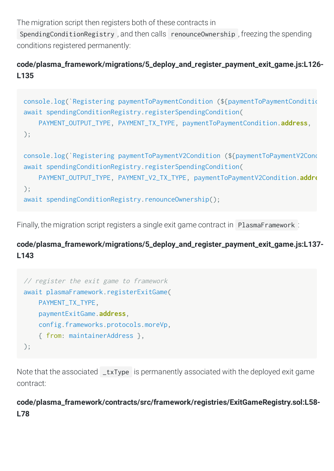The migration script then registers both of these contracts in

SpendingConditionRegistry , and then calls renounceOwnership , freezing the spending conditions registered permanently:

# **code/plasma\_framework/migrations/5\_deploy\_and\_register\_payment\_exit\_game.js:L126- L135**

```
console.log(`Registering paymentToPaymentCondition (${paymentToPaymentConditio
await spendingConditionRegistry.registerSpendingCondition(
     PAYMENT_OUTPUT_TYPE, PAYMENT_TX_TYPE, paymentToPaymentCondition.address,
);
console.log(`Registering paymentToPaymentV2Condition (${paymentToPaymentV2Cond
await spendingConditionRegistry.registerSpendingCondition(
     PAYMENT_OUTPUT_TYPE, PAYMENT_V2_TX_TYPE, paymentToPaymentV2Condition.addre
);
await spendingConditionRegistry.renounceOwnership();
```
Finally, the migration script registers a single exit game contract in PlasmaFramework :

**code/plasma\_framework/migrations/5\_deploy\_and\_register\_payment\_exit\_game.js:L137- L143**

```
// register the exit game to framework
await plasmaFramework.registerExitGame(
     PAYMENT_TX_TYPE,
     paymentExitGame.address,
     config.frameworks.protocols.moreVp,
     { from: maintainerAddress },
);
```
Note that the associated  $\mathsf{I}_t$ xType is permanently associated with the deployed exit game contract:

# **code/plasma\_framework/contracts/src/framework/registries/ExitGameRegistry.sol:L58- L78**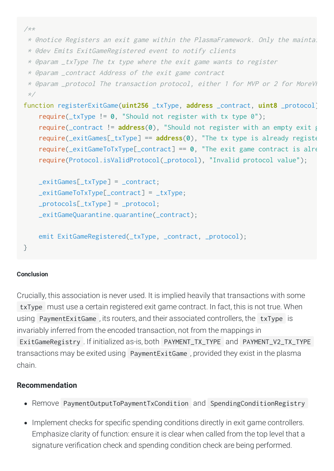```
/**
  * @notice Registers an exit game within the PlasmaFramework. Only the maintai
  * @dev Emits ExitGameRegistered event to notify clients
  * @param _txType The tx type where the exit game wants to register
  * @param _contract Address of the exit game contract
 * @param _protocol The transaction protocol, either 1 for MVP or 2 for MoreVI
  */
function registerExitGame(uint256 _txType, address _contract, uint8 _protocol)
     require(_txType != 0, "Should not register with tx type 0");
     require(_contract != address(0), "Should not register with an empty exit g
     require(_exitGames[_txType] == address(0), "The tx type is already registe
     require(_exitGameToTxType[_contract] == 0, "The exit game contract is alre
     require(Protocol.isValidProtocol(_protocol), "Invalid protocol value");
     _exitGames[_txType] = _contract;
   exitGameToTxType[contract] = _txType; _protocols[_txType] = _protocol;
     _exitGameQuarantine.quarantine(_contract);
    emit ExitGameRegistered(_txType, _contract, _protocol);
}
```
#### **Conclusion**

Crucially, this association is never used. It is implied heavily that transactions with some txType must use a certain registered exit game contract. In fact, this is not true. When using PaymentExitGame , its routers, and their associated controllers, the txType is invariably inferred from the encoded transaction, not from the mappings in ExitGameRegistry . If initialized as-is, both PAYMENT\_TX\_TYPE and PAYMENT\_V2\_TX\_TYPE transactions may be exited using PaymentExitGame , provided they exist in the plasma chain.

## **Recommendation**

- Remove PaymentOutputToPaymentTxCondition and SpendingConditionRegistry
- Implement checks for specific spending conditions directly in exit game controllers. Emphasize clarity of function: ensure it is clear when called from the top level that a signature verification check and spending condition check are being performed.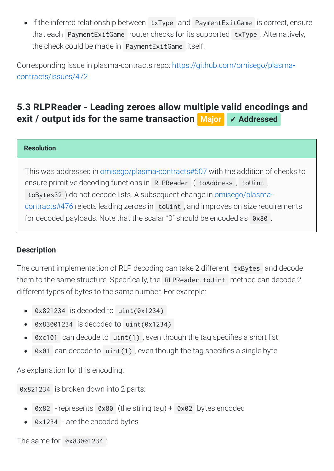If the inferred relationship between txType and PaymentExitGame is correct, ensure that each PaymentExitGame router checks for its supported txType . Alternatively, the check could be made in PaymentExitGame itself.

Corresponding issue in plasma-contracts repo: [https://github.com/omisego/plasma](https://github.com/omisego/plasma-contracts/issues/472)contracts/issues/472

# <span id="page-15-0"></span>**5.3 RLPReader - Leading zeroes allow multiple valid encodings and exit / output ids for the same [transaction](#page-15-0) Major** ✓ **Addressed**

#### **Resolution**

This was addressed in [omisego/plasma-contracts#507](https://github.com/omisego/plasma-contracts/pull/507) with the addition of checks to ensure primitive decoding functions in RLPReader ( toAddress, toUint, toBytes32 ) do not decode lists. A subsequent change in [omisego/plasma](https://github.com/omisego/plasma-contracts/pull/476)contracts#476 rejects leading zeroes in toUint , and improves on size requirements for decoded payloads. Note that the scalar "0" should be encoded as 0x80 .

## **Description**

The current implementation of RLP decoding can take 2 different txBytes and decode them to the same structure. Specifically, the RLPReader. toUint method can decode 2 different types of bytes to the same number. For example:

- 0x821234 is decoded to uint(0x1234)  $\bullet$
- 0x83001234 is decoded to uint(0x1234)  $\bullet$
- $0 \times 101$  can decode to  $uint(1)$ , even though the tag specifies a short list  $\bullet$
- $0x01$  can decode to uint(1), even though the tag specifies a single byte  $\bullet$

As explanation for this encoding:

0x821234 is broken down into 2 parts:

- 0x82 represents 0x80 (the string tag) + 0x02 bytes encoded  $\bullet$
- 0x1234 are the encoded bytes

The same for 0x83001234 :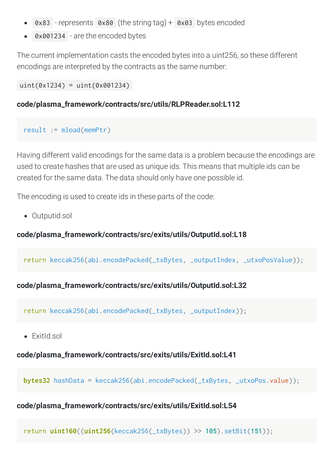- 0x83 represents 0x80 (the string tag) + 0x03 bytes encoded
- 0x001234 are the encoded bytes

The current implementation casts the encoded bytes into a uint256, so these different encodings are interpreted by the contracts as the same number:

uint(0x1234) = uint(0x001234)

#### **code/plasma\_framework/contracts/src/utils/RLPReader.sol:L112**

```
result := mload(memPtr)
```
Having different valid encodings for the same data is a problem because the encodings are used to create hashes that are used as unique ids. This means that multiple ids can be created for the same data. The data should only have one possible id.

The encoding is used to create ids in these parts of the code:

Outputid.sol

### **code/plasma\_framework/contracts/src/exits/utils/OutputId.sol:L18**

return keccak256(abi.encodePacked(\_txBytes, \_outputIndex, \_utxoPosValue));

## **code/plasma\_framework/contracts/src/exits/utils/OutputId.sol:L32**

return keccak256(abi.encodePacked(\_txBytes, \_outputIndex));

• ExitId.sol

**code/plasma\_framework/contracts/src/exits/utils/ExitId.sol:L41**

**bytes32** hashData = keccak256(abi.encodePacked(\_txBytes, \_utxoPos.value));

# **code/plasma\_framework/contracts/src/exits/utils/ExitId.sol:L54**

return **uint160**((**uint256**(keccak256(\_txBytes)) >> **105**).setBit(**151**));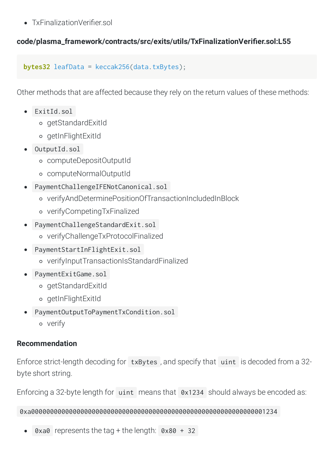• TxFinalizationVerifier sol

# code/plasma\_framework/contracts/src/exits/utils/TxFinalizationVerifier.sol:L55

```
bytes32 leafData = keccak256(data.txBytes);
```
Other methods that are affected because they rely on the return values of these methods:

- ExitId.sol
	- getStandardExitId
	- getInFlightExitId
- OutputId.sol
	- computeDepositOutputId
	- computeNormalOutputId
- PaymentChallengeIFENotCanonical.sol
	- verifyAndDeterminePositionOfTransactionIncludedInBlock
	- verifyCompetingTxFinalized
- PaymentChallengeStandardExit.sol
	- verifyChallengeTxProtocolFinalized
- PaymentStartInFlightExit.sol
	- verifyInputTransactionIsStandardFinalized
- PaymentExitGame.sol
	- getStandardExitId
	- getInFlightExitId
- PaymentOutputToPaymentTxCondition.sol
	- verify

# **Recommendation**

Enforce strict-length decoding for txBytes , and specify that uint is decoded from a 32 byte short string.

Enforcing a 32-byte length for uint means that 0x1234 should always be encoded as:

0xa00000000000000000000000000000000000000000000000000000000000001234

0xa0 represents the tag + the length:  $0 \times 80 + 32$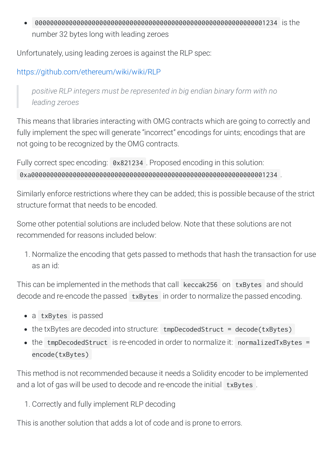0000000000000000000000000000000000000000000000000000000000001234 is the  $\bullet$ number 32 bytes long with leading zeroes

Unfortunately, using leading zeroes is against the RLP spec:

# <https://github.com/ethereum/wiki/wiki/RLP>

*positive RLP integers must be represented in big endian binary form with no leading zeroes*

This means that libraries interacting with OMG contracts which are going to correctly and fully implement the spec will generate "incorrect" encodings for uints; encodings that are not going to be recognized by the OMG contracts.

Fully correct spec encoding: 0x821234 . Proposed encoding in this solution: 0xa00000000000000000000000000000000000000000000000000000000000001234 .

Similarly enforce restrictions where they can be added; this is possible because of the strict structure format that needs to be encoded.

Some other potential solutions are included below. Note that these solutions are not recommended for reasons included below:

1. Normalize the encoding that gets passed to methods that hash the transaction for use as an id:

This can be implemented in the methods that call keccak256 on txBytes and should decode and re-encode the passed txBytes in order to normalize the passed encoding.

- a txBytes is passed
- the txBytes are decoded into structure: tmpDecodedStruct = decode(txBytes)
- the tmpDecodedStruct is re-encoded in order to normalize it: normalizedTxBytes = encode(txBytes)

This method is not recommended because it needs a Solidity encoder to be implemented and a lot of gas will be used to decode and re-encode the initial txBytes.

1. Correctly and fully implement RLP decoding

This is another solution that adds a lot of code and is prone to errors.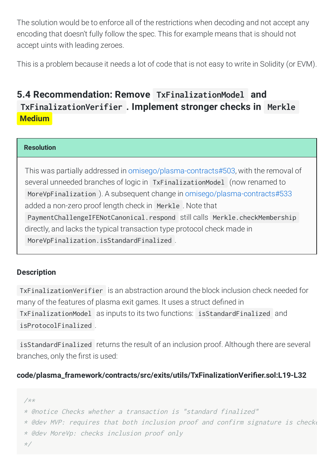The solution would be to enforce all of the restrictions when decoding and not accept any encoding that doesn't fully follow the spec. This for example means that is should not accept uints with leading zeroes.

This is a problem because it needs a lot of code that is not easy to write in Solidity (or EVM).

# <span id="page-19-0"></span>**5.4 Recommendation: Remove TxFinalizationModel and [TxFinalizationVerifier](#page-19-0) . Implement stronger checks in Merkle Medium**

#### **Resolution**

This was partially addressed in [omisego/plasma-contracts#503](https://github.com/omisego/plasma-contracts/pull/503), with the removal of several unneeded branches of logic in TxFinalizationModel (now renamed to MoreVpFinalization ). A subsequent change in [omisego/plasma-contracts#533](https://github.com/omisego/plasma-contracts/pull/533) added a non-zero proof length check in Merkle . Note that PaymentChallengeIFENotCanonical.respond still calls Merkle.checkMembership directly, and lacks the typical transaction type protocol check made in MoreVpFinalization.isStandardFinalized .

## **Description**

TxFinalizationVerifier is an abstraction around the block inclusion check needed for many of the features of plasma exit games. It uses a struct defined in TxFinalizationModel as inputs to its two functions: isStandardFinalized and isProtocolFinalized .

isStandardFinalized returns the result of an inclusion proof. Although there are several branches, only the first is used:

## code/plasma\_framework/contracts/src/exits/utils/TxFinalizationVerifier.sol:L19-L32

```
/**
* @notice Checks whether a transaction is "standard finalized"
* @dev MVP: requires that both inclusion proof and confirm signature is checke
* @dev MoreVp: checks inclusion proof only
*/
```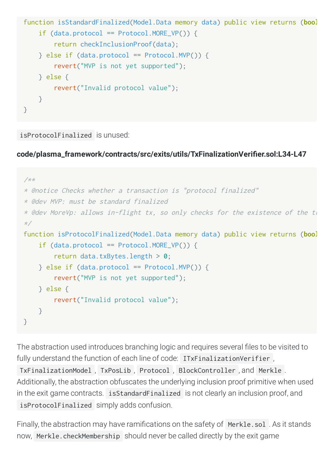```
function isStandardFinalized(Model.Data memory data) public view returns (bool
    if (data.protocol == Protocol.MORE_VP()) {
         return checkInclusionProof(data);
    \} else if (data.protocol == Protocol.MVP()) {
         revert("MVP is not yet supported");
     } else {
         revert("Invalid protocol value");
     }
}
```

```
isProtocolFinalized is unused:
```
code/plasma\_framework/contracts/src/exits/utils/TxFinalizationVerifier.sol:L34-L47

```
/**
* @notice Checks whether a transaction is "protocol finalized"
* @dev MVP: must be standard finalized
* @dev MoreVp: allows in-flight tx, so only checks for the existence of the ti
*/
function isProtocolFinalized(Model.Data memory data) public view returns (bool
    if (data.protocol == Protocol.MORE_VP()) {
         return data.txBytes.length > 0;
    \} else if (data.protocol == Protocol.MVP()) {
         revert("MVP is not yet supported");
     } else {
         revert("Invalid protocol value");
     }
}
```
The abstraction used introduces branching logic and requires several files to be visited to fully understand the function of each line of code: ITxFinalizationVerifier,

TxFinalizationModel , TxPosLib , Protocol , BlockController , and Merkle . Additionally, the abstraction obfuscates the underlying inclusion proof primitive when used in the exit game contracts. isStandardFinalized is not clearly an inclusion proof, and isProtocolFinalized simply adds confusion.

Finally, the abstraction may have ramifications on the safety of Merkle.sol. As it stands now, Merkle.checkMembership should never be called directly by the exit game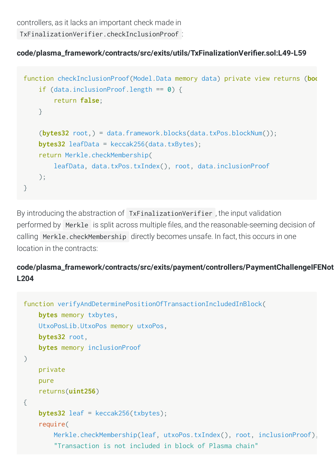controllers, as it lacks an important check made in

TxFinalizationVerifier.checkInclusionProof :

# code/plasma\_framework/contracts/src/exits/utils/TxFinalizationVerifier.sol:L49-L59

```
function checkInclusionProof(Model.Data memory data) private view returns (boo
     if (data.inclusionProof.length == 0) {
         return false;
     }
    (bytes32 root, ) = data.framework.blocks(data.txPos.blockNum());
    bytes32 leafData = keccak256(data.txBytes):
     return Merkle.checkMembership(
         leafData, data.txPos.txIndex(), root, data.inclusionProof
     );
}
```
By introducing the abstraction of TxFinalizationVerifier , the input validation performed by Merkle is split across multiple files, and the reasonable-seeming decision of calling Merkle.checkMembership directly becomes unsafe. In fact, this occurs in one location in the contracts:

# **code/plasma\_framework/contracts/src/exits/payment/controllers/PaymentChallengeIFENot L204**

```
function verifyAndDeterminePositionOfTransactionIncludedInBlock(
     bytes memory txbytes,
     UtxoPosLib.UtxoPos memory utxoPos,
     bytes32 root,
     bytes memory inclusionProof
\left( \right) private
     pure
     returns(uint256)
{
     bytes32 leaf = keccak256(txbytes);
     require(
         Merkle.checkMembership(leaf, utxoPos.txIndex(), root, inclusionProof),
          "Transaction is not included in block of Plasma chain"
```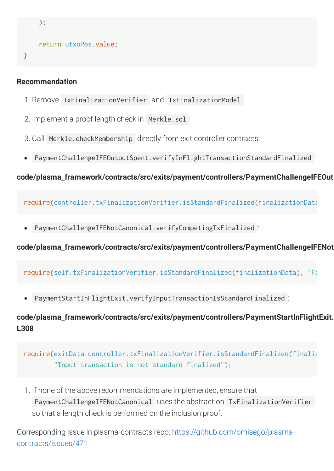```
 );
 return utxoPos.value;
```
## **Recommendation**

}

- 1. Remove TxFinalizationVerifier and TxFinalizationModel
- 2. Implement a proof length check in Merkle.sol
- 3. Call Merkle.checkMembership directly from exit controller contracts:
- PaymentChallengeIFEOutputSpent.verifyInFlightTransactionStandardFinalized :

**code/plasma\_framework/contracts/src/exits/payment/controllers/PaymentChallengeIFEOut**

require(controller.txFinalizationVerifier.isStandardFinalized(finalizationData

PaymentChallengeIFENotCanonical.verifyCompetingTxFinalized :

**code/plasma\_framework/contracts/src/exits/payment/controllers/PaymentChallengeIFENot**

require(self.txFinalizationVerifier.isStandardFinalized(finalizationData), "Fa

PaymentStartInFlightExit.verifyInputTransactionIsStandardFinalized :

**code/plasma\_framework/contracts/src/exits/payment/controllers/PaymentStartInFlightExit. L308**

require(exitData.controller.txFinalizationVerifier.isStandardFinalized(finaliz "Input transaction is not standard finalized");

1. If none of the above recommendations are implemented, ensure that PaymentChallengeIFENotCanonical uses the abstraction TxFinalizationVerifier so that a length check is performed on the inclusion proof.

Corresponding issue in plasma-contracts repo: [https://github.com/omisego/plasma](https://github.com/omisego/plasma-contracts/issues/471)contracts/issues/471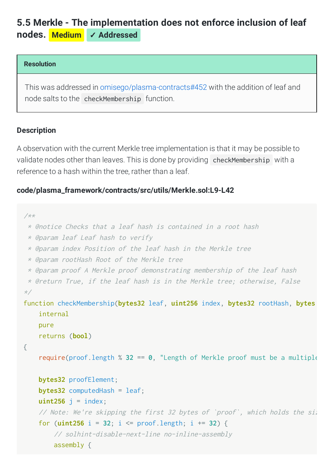# <span id="page-23-0"></span>**5.5 Merkle - The [implementation](#page-23-0) does not enforce inclusion of leaf nodes. Medium** ✓ **Addressed**

#### **Resolution**

This was addressed in [omisego/plasma-contracts#452](https://github.com/omisego/plasma-contracts/pull/452) with the addition of leaf and node salts to the checkMembership function.

#### **Description**

A observation with the current Merkle tree implementation is that it may be possible to validate nodes other than leaves. This is done by providing checkMembership with a reference to a hash within the tree, rather than a leaf.

#### **code/plasma\_framework/contracts/src/utils/Merkle.sol:L9-L42**

```
/**
  * @notice Checks that a leaf hash is contained in a root hash
  * @param leaf Leaf hash to verify
  * @param index Position of the leaf hash in the Merkle tree
  * @param rootHash Root of the Merkle tree
  * @param proof A Merkle proof demonstrating membership of the leaf hash
  * @return True, if the leaf hash is in the Merkle tree; otherwise, False
*/
function checkMembership(bytes32 leaf, uint256 index, bytes32 rootHash, bytes
     internal
     pure
     returns (bool)
{
    require(proof.length \% 32 == 0, "Length of Merkle proof must be a multiple
     bytes32 proofElement;
     bytes32 computedHash = leaf;
    uint256 j = index; // Note: We're skipping the first 32 bytes of `proof`, which holds the siz
     for (uint256 i = 32; i <= proof.length; i += 32) {
         // solhint-disable-next-line no-inline-assembly
         assembly {
```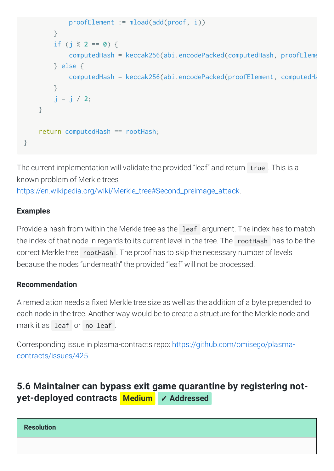```
 proofElement := mload(add(proof, i))
         }
        if (j \% 2 == 0) {
             computedHash = keccak256(abi.encodePacked(computedHash, proofEleme
         } else {
             computedHash = keccak256(abi.encodePacked(proofElement, computedHa
         }
         j = j / 2;
     }
     return computedHash == rootHash;
}
```
The current implementation will validate the provided "leaf" and return true . This is a known problem of Merkle trees [https://en.wikipedia.org/wiki/Merkle\\_tree#Second\\_preimage\\_attack.](https://en.wikipedia.org/wiki/Merkle_tree#Second_preimage_attack)

# **Examples**

Provide a hash from within the Merkle tree as the leaf argument. The index has to match the index of that node in regards to its current level in the tree. The rootHash has to be the correct Merkle tree rootHash . The proof has to skip the necessary number of levels because the nodes "underneath" the provided "leaf" will not be processed.

# **Recommendation**

A remediation needs a fixed Merkle tree size as well as the addition of a byte prepended to each node in the tree. Another way would be to create a structure for the Merkle node and mark it as leaf or no leaf .

Corresponding issue in plasma-contracts repo: [https://github.com/omisego/plasma](https://github.com/omisego/plasma-contracts/issues/425)contracts/issues/425

# <span id="page-24-0"></span>**5.6 Maintainer can bypass exit game quarantine by registering not[yet-deployed](#page-24-0) contracts Medium** ✓ **Addressed**

**Resolution**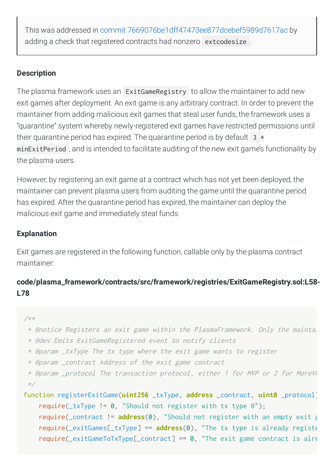This was addressed in commit [7669076be1dff47473ee877dcebef5989d7617ac](https://github.com/omisego/plasma-contracts/pull/469/commits/7669076be1dff47473ee877dcebef5989d7617ac) by adding a check that registered contracts had nonzero extcodesize .

# **Description**

The plasma framework uses an ExitGameRegistry to allow the maintainer to add new exit games after deployment. An exit game is any arbitrary contract. In order to prevent the maintainer from adding malicious exit games that steal user funds, the framework uses a "quarantine" system whereby newly-registered exit games have restricted permissions until their quarantine period has expired. The quarantine period is by default  $3 *$ minExitPeriod , and is intended to facilitate auditing of the new exit game's functionality by the plasma users.

However, by registering an exit game at a contract which has not yet been deployed, the maintainer can prevent plasma users from auditing the game until the quarantine period has expired. After the quarantine period has expired, the maintainer can deploy the malicious exit game and immediately steal funds.

# **Explanation**

Exit games are registered in the following function, callable only by the plasma contract maintainer:

# **code/plasma\_framework/contracts/src/framework/registries/ExitGameRegistry.sol:L58- L78**

```
/**
```

```
 * @notice Registers an exit game within the PlasmaFramework. Only the maintai
```
- \* @dev Emits ExitGameRegistered event to notify clients
- \* @param \_txType The tx type where the exit game wants to register
- \* @param \_contract Address of the exit game contract

```
* @param _protocol The transaction protocol, either 1 for MVP or 2 for MoreVI
 */
```

```
function registerExitGame(uint256 _txType, address _contract, uint8 _protocol)
     require(_txType != 0, "Should not register with tx type 0");
     require(_contract != address(0), "Should not register with an empty exit g
     require(_exitGames[_txType] == address(0), "The tx type is already registe
     require(_exitGameToTxType[_contract] == 0, "The exit game contract is alre
```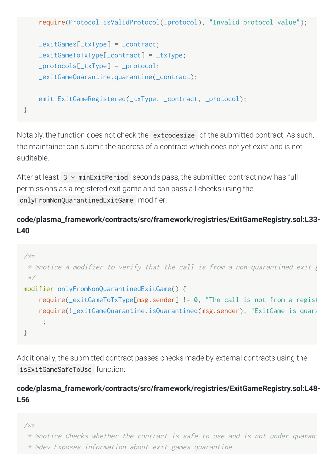```
 require(Protocol.isValidProtocol(_protocol), "Invalid protocol value");
    exitGames[_txType] = contract;exitGameToTxType[__contract] = _txType; _protocols[_txType] = _protocol;
     _exitGameQuarantine.quarantine(_contract);
     emit ExitGameRegistered(_txType, _contract, _protocol);
}
```
Notably, the function does not check the extcodesize of the submitted contract. As such, the maintainer can submit the address of a contract which does not yet exist and is not auditable.

After at least  $3 * minExitPeriod$  seconds pass, the submitted contract now has full permissions as a registered exit game and can pass all checks using the onlyFromNonQuarantinedExitGame modifier:

# **code/plasma\_framework/contracts/src/framework/registries/ExitGameRegistry.sol:L33- L40**

```
/**
  * @notice A modifier to verify that the call is from a non-quarantined exit g
  */
modifier onlyFromNonQuarantinedExitGame() {
     require(_exitGameToTxType[msg.sender] != 0, "The call is not from a regist
    require(!_exitGameQuarantine.isQuarantined(msg.sender), "ExitGame is quara
     _;
}
```
Additionally, the submitted contract passes checks made by external contracts using the isExitGameSafeToUse function:

# **code/plasma\_framework/contracts/src/framework/registries/ExitGameRegistry.sol:L48- L56**

```
/**
```

```
 * @notice Checks whether the contract is safe to use and is not under quarant
```
\* @dev Exposes information about exit games quarantine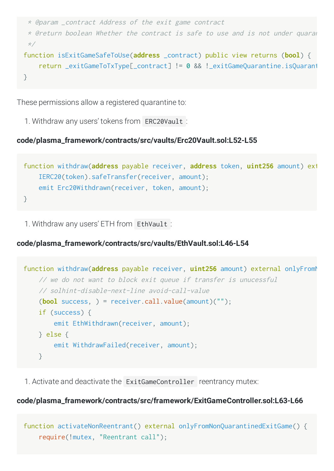```
 * @param _contract Address of the exit game contract
  * @return boolean Whether the contract is safe to use and is not under quaran
  */
function isExitGameSafeToUse(address _contract) public view returns (bool) {
     return _exitGameToTxType[_contract] != 0 && !_exitGameQuarantine.isQuarant
}
```
These permissions allow a registered quarantine to:

1. Withdraw any users' tokens from ERC20Vault :

#### **code/plasma\_framework/contracts/src/vaults/Erc20Vault.sol:L52-L55**

```
function withdraw(address payable receiver, address token, uint256 amount) ext
     IERC20(token).safeTransfer(receiver, amount);
   emit Erc20Withdrawn(receiver, token, amount);
}
```
1. Withdraw any users' ETH from EthVault :

## **code/plasma\_framework/contracts/src/vaults/EthVault.sol:L46-L54**

```
function withdraw(address payable receiver, uint256 amount) external onlyFromM
     // we do not want to block exit queue if transfer is unucessful
     // solhint-disable-next-line avoid-call-value
     (bool success, ) = receiver.call.value(amount)("");
     if (success) {
        emit EthWithdrawn(receiver, amount);
     } else {
         emit WithdrawFailed(receiver, amount);
     }
```
1. Activate and deactivate the ExitGameController reentrancy mutex:

## **code/plasma\_framework/contracts/src/framework/ExitGameController.sol:L63-L66**

```
function activateNonReentrant() external onlyFromNonQuarantinedExitGame() {
     require(!mutex, "Reentrant call");
```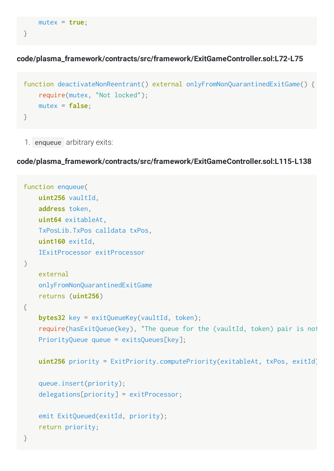```
 mutex = true;
```
}

**code/plasma\_framework/contracts/src/framework/ExitGameController.sol:L72-L75**

```
function deactivateNonReentrant() external onlyFromNonQuarantinedExitGame() {
     require(mutex, "Not locked");
     mutex = false;
}
```
1. enqueue arbitrary exits:

## **code/plasma\_framework/contracts/src/framework/ExitGameController.sol:L115-L138**

```
function enqueue(
     uint256 vaultId,
     address token,
     uint64 exitableAt,
     TxPosLib.TxPos calldata txPos,
     uint160 exitId,
     IExitProcessor exitProcessor
\left( \right) external
     onlyFromNonQuarantinedExitGame
     returns (uint256)
{
    bytes32 key = exitQueueKey(vaultId, token);
     require(hasExitQueue(key), "The queue for the (vaultId, token) pair is not
     PriorityQueue queue = exitsQueues[key];
     uint256 priority = ExitPriority.computePriority(exitableAt, txPos, exitId)
     queue.insert(priority);
     delegations[priority] = exitProcessor;
     emit ExitQueued(exitId, priority);
     return priority;
}
```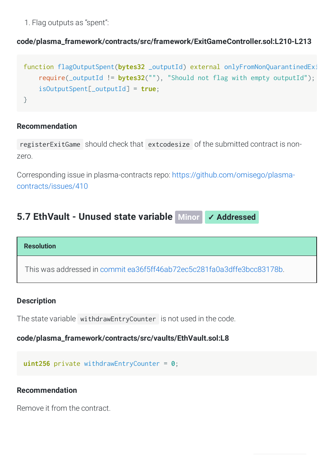1. Flag outputs as "spent":

# **code/plasma\_framework/contracts/src/framework/ExitGameController.sol:L210-L213**

```
function flagOutputSpent(bytes32 _outputId) external onlyFromNonQuarantinedExi
     require(_outputId != bytes32(""), "Should not flag with empty outputId");
     isOutputSpent[_outputId] = true;
}
```
#### **Recommendation**

registerExitGame should check that extcodesize of the submitted contract is nonzero.

Corresponding issue in plasma-contracts repo: [https://github.com/omisego/plasma](https://github.com/omisego/plasma-contracts/issues/410)contracts/issues/410

# <span id="page-29-0"></span>**5.7 [EthVault](#page-29-0) - Unused state variable Minor** ✓ **Addressed**

#### **Resolution**

This was addressed in commit [ea36f5ff46ab72ec5c281fa0a3dffe3bcc83178b](https://github.com/omisego/plasma-contracts/commit/ea36f5ff46ab72ec5c281fa0a3dffe3bcc83178b).

#### **Description**

The state variable withdrawEntryCounter is not used in the code.

#### **code/plasma\_framework/contracts/src/vaults/EthVault.sol:L8**

**uint256** private withdrawEntryCounter = **0**;

#### **Recommendation**

Remove it from the contract.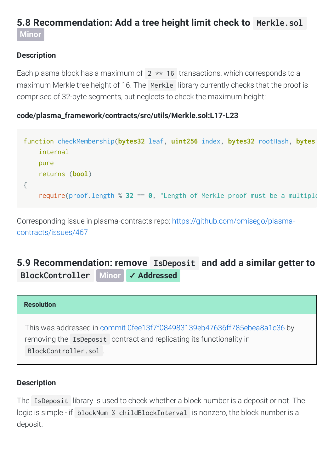# <span id="page-30-0"></span>**5.8 [Recommendation:](#page-30-0) Add a tree height limit check to Merkle.sol Minor**

# **Description**

Each plasma block has a maximum of  $2 \times 16$  transactions, which corresponds to a maximum Merkle tree height of 16. The Merkle library currently checks that the proof is comprised of 32-byte segments, but neglects to check the maximum height:

## **code/plasma\_framework/contracts/src/utils/Merkle.sol:L17-L23**

| function checkMembership(bytes32 leaf, uint256 index, bytes32 rootHash, bytes |  |  |  |  |
|-------------------------------------------------------------------------------|--|--|--|--|
| internal                                                                      |  |  |  |  |
| pure                                                                          |  |  |  |  |
| returns (bool)                                                                |  |  |  |  |
|                                                                               |  |  |  |  |
| require(proof.length % 32 == 0, "Length of Merkle proof must be a multiple    |  |  |  |  |

Corresponding issue in plasma-contracts repo: [https://github.com/omisego/plasma](https://github.com/omisego/plasma-contracts/issues/467)contracts/issues/467

# <span id="page-30-1"></span>**5.9 [Recommendation:](#page-30-1) remove IsDeposit and add a similar getter to BlockController Minor** ✓ **Addressed**

# **Resolution** This was addressed in commit [0fee13f7f084983139eb47636ff785ebea8a1c36](https://github.com/omisego/plasma-contracts/pull/516/commits/0fee13f7f084983139eb47636ff785ebea8a1c36) by removing the IsDeposit contract and replicating its functionality in BlockController.sol .

# **Description**

The IsDeposit library is used to check whether a block number is a deposit or not. The logic is simple - if blockNum % childBlockInterval is nonzero, the block number is a deposit.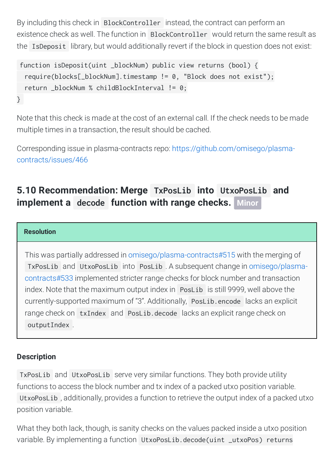By including this check in BlockController instead, the contract can perform an existence check as well. The function in BlockController would return the same result as the IsDeposit library, but would additionally revert if the block in question does not exist:

```
function isDeposit(uint _blockNum) public view returns (bool) {
   require(blocks[_blockNum].timestamp != 0, "Block does not exist");
   return _blockNum % childBlockInterval != 0;
}
```
Note that this check is made at the cost of an external call. If the check needs to be made multiple times in a transaction, the result should be cached.

Corresponding issue in plasma-contracts repo: [https://github.com/omisego/plasma](https://github.com/omisego/plasma-contracts/issues/466)contracts/issues/466

# <span id="page-31-0"></span>**5.10 [Recommendation:](#page-31-0) Merge TxPosLib into UtxoPosLib and implement a decode function with range checks. Minor**

#### **Resolution**

This was partially addressed in [omisego/plasma-contracts#515](https://github.com/omisego/plasma-contracts/pull/515) with the merging of TxPosLib and UtxoPosLib into PosLib . A subsequent change in [omisego/plasma](https://github.com/omisego/plasma-contracts/pull/533)contracts#533 implemented stricter range checks for block number and transaction index. Note that the maximum output index in PosLib is still 9999, well above the currently-supported maximum of "3". Additionally, PosLib.encode lacks an explicit range check on txIndex and PosLib.decode lacks an explicit range check on outputIndex .

## **Description**

TxPosLib and UtxoPosLib serve very similar functions. They both provide utility functions to access the block number and tx index of a packed utxo position variable. UtxoPosLib , additionally, provides a function to retrieve the output index of a packed utxo position variable.

What they both lack, though, is sanity checks on the values packed inside a utxo position variable. By implementing a function UtxoPosLib.decode(uint \_utxoPos) returns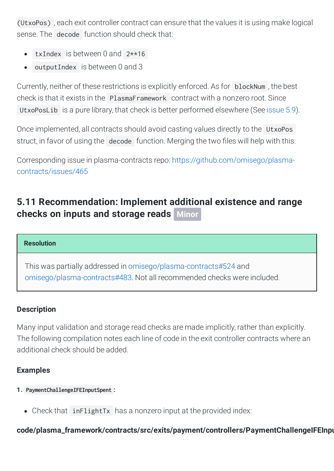(UtxoPos) , each exit controller contract can ensure that the values it is using make logical sense. The decode function should check that:

- txIndex is between 0 and 2\*\*16
- outputIndex is between 0 and 3  $\bullet$

Currently, neither of these restrictions is explicitly enforced. As for blockNum , the best check is that it exists in the PlasmaFramework contract with a nonzero root. Since UtxoPosLib is a pure library, that check is better performed elsewhere (See [issue](#page-30-1) 5.9).

Once implemented, all contracts should avoid casting values directly to the UtxoPos struct, in favor of using the decode function. Merging the two files will help with this.

Corresponding issue in plasma-contracts repo: [https://github.com/omisego/plasma](https://github.com/omisego/plasma-contracts/issues/465)contracts/issues/465

# <span id="page-32-0"></span>**5.11 [Recommendation:](#page-32-0) Implement additional existence and range checks on inputs and storage reads Minor**

#### **Resolution**

This was partially addressed in [omisego/plasma-contracts#524](https://github.com/omisego/plasma-contracts/pull/524) and [omisego/plasma-contracts#483.](https://github.com/omisego/plasma-contracts/pull/483) Not all recommended checks were included.

## **Description**

Many input validation and storage read checks are made implicitly, rather than explicitly. The following compilation notes each line of code in the exit controller contracts where an additional check should be added.

# **Examples**

- **1. PaymentChallengeIFEInputSpent :**
	- Check that inFlightTx has a nonzero input at the provided index:

# **code/plasma\_framework/contracts/src/exits/payment/controllers/PaymentChallengeIFEInpu**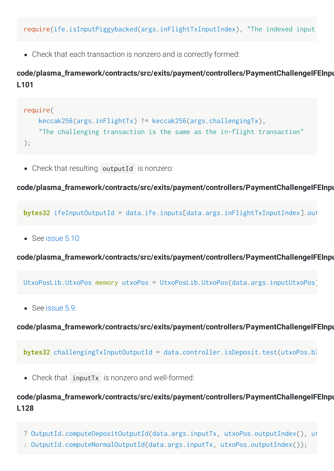Check that each transaction is nonzero and is correctly formed:

# **code/plasma\_framework/contracts/src/exits/payment/controllers/PaymentChallengeIFEInpu L101**

```
require(
     keccak256(args.inFlightTx) != keccak256(args.challengingTx),
     "The challenging transaction is the same as the in-flight transaction"
);
```
Check that resulting outputId is nonzero:

#### **code/plasma\_framework/contracts/src/exits/payment/controllers/PaymentChallengeIFEInpu**

**bytes32** ifeInputOutputId = data.ife.inputs[data.args.inFlightTxInputIndex].out

• See [issue](http://localhost:1313/audits/2020/01/omisego-morevp/issue%205.10:) 5.10:

**code/plasma\_framework/contracts/src/exits/payment/controllers/PaymentChallengeIFEInpu**

UtxoPosLib.UtxoPos memory utxoPos = UtxoPosLib.UtxoPos(data.args.inputUtxoPos)

• See [issue](http://localhost:1313/audits/2020/01/omisego-morevp/issue%205.9:) 5.9:

**code/plasma\_framework/contracts/src/exits/payment/controllers/PaymentChallengeIFEInpu**

```
bytes32 challengingTxInputOutputId = data.controller.isDeposit.test(utxoPos.bl
```
Check that inputTx is nonzero and well-formed:

# **code/plasma\_framework/contracts/src/exits/payment/controllers/PaymentChallengeIFEInpu L128**

- ? OutputId.computeDepositOutputId(data.args.inputTx, utxoPos.outputIndex(), ut
- : OutputId.computeNormalOutputId(data.args.inputTx, utxoPos.outputIndex());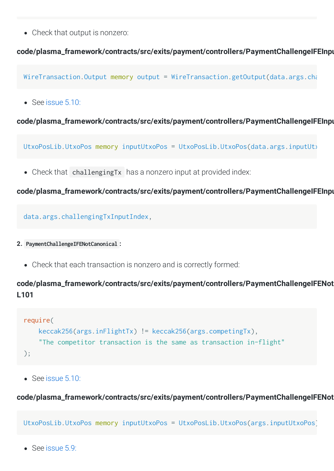Check that output is nonzero:

#### **code/plasma\_framework/contracts/src/exits/payment/controllers/PaymentChallengeIFEInpu**

WireTransaction.Output memory output = WireTransaction.getOutput(data.args.cha

 $\bullet$  See [issue](http://localhost:1313/audits/2020/01/omisego-morevp/issue%205.10:) 5.10:

#### **code/plasma\_framework/contracts/src/exits/payment/controllers/PaymentChallengeIFEInpu**

UtxoPosLib.UtxoPos memory inputUtxoPos = UtxoPosLib.UtxoPos(data.args.inputUt)

• Check that challengingTx has a nonzero input at provided index:

#### **code/plasma\_framework/contracts/src/exits/payment/controllers/PaymentChallengeIFEInpu**

data.args.challengingTxInputIndex,

- **2. PaymentChallengeIFENotCanonical :**
	- Check that each transaction is nonzero and is correctly formed:

# **code/plasma\_framework/contracts/src/exits/payment/controllers/PaymentChallengeIFENot L101**

```
require(
     keccak256(args.inFlightTx) != keccak256(args.competingTx),
     "The competitor transaction is the same as transaction in-flight"
);
```
See [issue](http://localhost:1313/audits/2020/01/omisego-morevp/issue%205.10:) 5.10:

#### **code/plasma\_framework/contracts/src/exits/payment/controllers/PaymentChallengeIFENot**

UtxoPosLib.UtxoPos memory inputUtxoPos = UtxoPosLib.UtxoPos(args.inputUtxoPos)

• See [issue](http://localhost:1313/audits/2020/01/omisego-morevp/issue%205.9:) 5.9: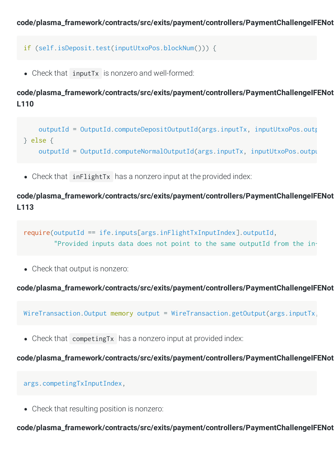```
if (self.isDeposit.test(inputUtxoPos.blockNum())) {
```
Check that inputTx is nonzero and well-formed:

**code/plasma\_framework/contracts/src/exits/payment/controllers/PaymentChallengeIFENot L110**

```
outputId = OutputId.computeDepositOutputId(args.inputTx, inputUtxoPos.outp
} else {
     outputId = OutputId.computeNormalOutputId(args.inputTx, inputUtxoPos.outpu
```
Check that inFlightTx has a nonzero input at the provided index:

**code/plasma\_framework/contracts/src/exits/payment/controllers/PaymentChallengeIFENot L113**

```
require(outputId == ife.inputs[args.inFlightTxInputIndex].outputId,
         "Provided inputs data does not point to the same outputId from the in-
```
Check that output is nonzero:

**code/plasma\_framework/contracts/src/exits/payment/controllers/PaymentChallengeIFENot**

WireTransaction.Output memory output = WireTransaction.getOutput(args.inputTx,

• Check that competing Tx has a nonzero input at provided index:

**code/plasma\_framework/contracts/src/exits/payment/controllers/PaymentChallengeIFENot**

args.competingTxInputIndex,

Check that resulting position is nonzero:

**code/plasma\_framework/contracts/src/exits/payment/controllers/PaymentChallengeIFENot**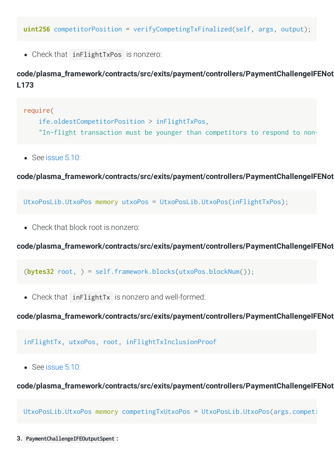**uint256** competitorPosition = verifyCompetingTxFinalized(self, args, output);

Check that inFlightTxPos is nonzero:

# **code/plasma\_framework/contracts/src/exits/payment/controllers/PaymentChallengeIFENot L173**

```
require(
     ife.oldestCompetitorPosition > inFlightTxPos,
     "In-flight transaction must be younger than competitors to respond to non-
```
See [issue](http://localhost:1313/audits/2020/01/omisego-morevp/issue%205.10:) 5.10:

**code/plasma\_framework/contracts/src/exits/payment/controllers/PaymentChallengeIFENot**

UtxoPosLib.UtxoPos memory utxoPos = UtxoPosLib.UtxoPos(inFlightTxPos);

Check that block root is nonzero:

**code/plasma\_framework/contracts/src/exits/payment/controllers/PaymentChallengeIFENot**

(**bytes32** root, ) = self.framework.blocks(utxoPos.blockNum());

Check that inFlightTx is nonzero and well-formed:

**code/plasma\_framework/contracts/src/exits/payment/controllers/PaymentChallengeIFENot**

inFlightTx, utxoPos, root, inFlightTxInclusionProof

See [issue](http://localhost:1313/audits/2020/01/omisego-morevp/issue%205.10:) 5.10:

**code/plasma\_framework/contracts/src/exits/payment/controllers/PaymentChallengeIFENot**

UtxoPosLib.UtxoPos memory competingTxUtxoPos = UtxoPosLib.UtxoPos(args.competi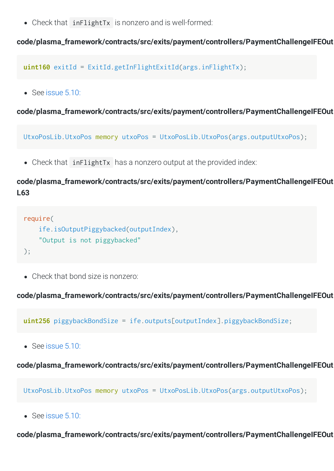Check that inFlightTx is nonzero and is well-formed:

**code/plasma\_framework/contracts/src/exits/payment/controllers/PaymentChallengeIFEOut**

**uint160** exitId = ExitId.getInFlightExitId(args.inFlightTx);

• See [issue](http://localhost:1313/audits/2020/01/omisego-morevp/issue%205.10:) 5.10:

**code/plasma\_framework/contracts/src/exits/payment/controllers/PaymentChallengeIFEOut**

UtxoPosLib.UtxoPos memory utxoPos = UtxoPosLib.UtxoPos(args.outputUtxoPos);

• Check that inFlightTx has a nonzero output at the provided index:

# **code/plasma\_framework/contracts/src/exits/payment/controllers/PaymentChallengeIFEOut L63**

```
require(
     ife.isOutputPiggybacked(outputIndex),
     "Output is not piggybacked"
```
);

• Check that bond size is nonzero:

**code/plasma\_framework/contracts/src/exits/payment/controllers/PaymentChallengeIFEOut**

**uint256** piggybackBondSize = ife.outputs[outputIndex].piggybackBondSize;

• See [issue](http://localhost:1313/audits/2020/01/omisego-morevp/issue%205.10:) 5.10:

**code/plasma\_framework/contracts/src/exits/payment/controllers/PaymentChallengeIFEOut**

UtxoPosLib.UtxoPos memory utxoPos = UtxoPosLib.UtxoPos(args.outputUtxoPos);

See [issue](http://localhost:1313/audits/2020/01/omisego-morevp/issue%205.10:) 5.10:

**code/plasma\_framework/contracts/src/exits/payment/controllers/PaymentChallengeIFEOut**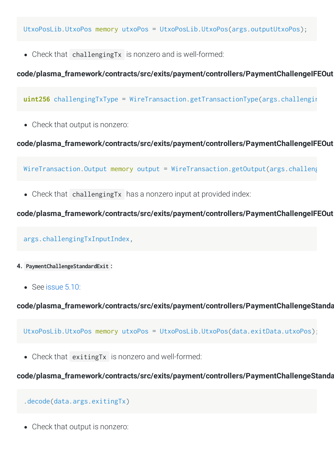UtxoPosLib.UtxoPos memory utxoPos = UtxoPosLib.UtxoPos(args.outputUtxoPos);

Check that challengingTx is nonzero and is well-formed:

## **code/plasma\_framework/contracts/src/exits/payment/controllers/PaymentChallengeIFEOut**

**uint256** challengingTxType = WireTransaction.getTransactionType(args.challengin

Check that output is nonzero:

## **code/plasma\_framework/contracts/src/exits/payment/controllers/PaymentChallengeIFEOut**

WireTransaction.Output memory output =  $WireTransaction.getOutput (args.challen)$ 

• Check that challengingTx has a nonzero input at provided index:

## **code/plasma\_framework/contracts/src/exits/payment/controllers/PaymentChallengeIFEOut**

#### args.challengingTxInputIndex,

- **4. PaymentChallengeStandardExit :**
	- See [issue](http://localhost:1313/audits/2020/01/omisego-morevp/issue%205.10:) 5.10:

**code/plasma\_framework/contracts/src/exits/payment/controllers/PaymentChallengeStanda**

UtxoPosLib.UtxoPos memory utxoPos = UtxoPosLib.UtxoPos(data.exitData.utxoPos);

Check that exitingTx is nonzero and well-formed:

## **code/plasma\_framework/contracts/src/exits/payment/controllers/PaymentChallengeStanda**

#### .decode(data.args.exitingTx)

Check that output is nonzero: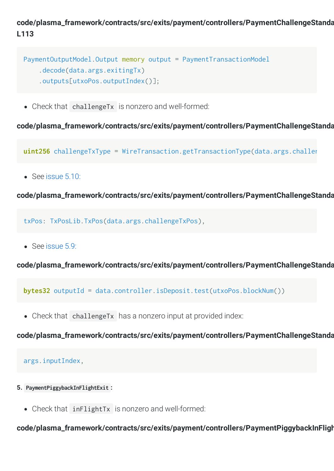# **code/plasma\_framework/contracts/src/exits/payment/controllers/PaymentChallengeStanda L113**

```
PaymentOutputModel.Output memory output = PaymentTransactionModel
     .decode(data.args.exitingTx)
     .outputs[utxoPos.outputIndex()];
```
Check that challengeTx is nonzero and well-formed:

**code/plasma\_framework/contracts/src/exits/payment/controllers/PaymentChallengeStanda**

**uint256** challengeTxType = WireTransaction.getTransactionType(data.args.challen

See [issue](http://localhost:1313/audits/2020/01/omisego-morevp/issue%205.10:) 5.10:

**code/plasma\_framework/contracts/src/exits/payment/controllers/PaymentChallengeStanda**

txPos: TxPosLib.TxPos(data.args.challengeTxPos),

• See [issue](http://localhost:1313/audits/2020/01/omisego-morevp/issue%205.9:) 5.9:

**code/plasma\_framework/contracts/src/exits/payment/controllers/PaymentChallengeStanda**

**bytes32** outputId = data.controller.isDeposit.test(utxoPos.blockNum())

• Check that challengeTx has a nonzero input at provided index:

**code/plasma\_framework/contracts/src/exits/payment/controllers/PaymentChallengeStanda**

```
args.inputIndex,
```
- **5. PaymentPiggybackInFlightExit :**
	- Check that inFlightTx is nonzero and well-formed:

**code/plasma\_framework/contracts/src/exits/payment/controllers/PaymentPiggybackInFligh**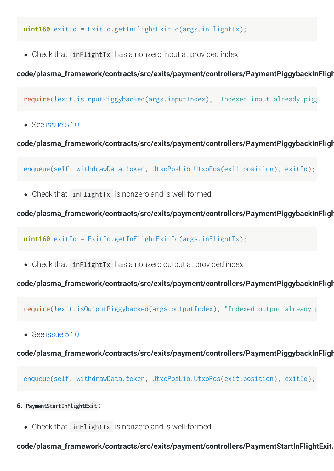**uint160** exitId = ExitId.getInFlightExitId(args.inFlightTx);

• Check that inFlightTx has a nonzero input at provided index:

# **code/plasma\_framework/contracts/src/exits/payment/controllers/PaymentPiggybackInFligh**

require(!exit.isInputPiggybacked(args.inputIndex), "Indexed input already pigg

 $\bullet$  See [issue](http://localhost:1313/audits/2020/01/omisego-morevp/issue%205.10:) 5.10:

**code/plasma\_framework/contracts/src/exits/payment/controllers/PaymentPiggybackInFligh**

enqueue(self, withdrawData.token, UtxoPosLib.UtxoPos(exit.position), exitId);

Check that inFlightTx is nonzero and is well-formed:

**code/plasma\_framework/contracts/src/exits/payment/controllers/PaymentPiggybackInFligh**

**uint160** exitId = ExitId.getInFlightExitId(args.inFlightTx);

• Check that inFlightTx has a nonzero output at provided index:

**code/plasma\_framework/contracts/src/exits/payment/controllers/PaymentPiggybackInFligh**

require(!exit.isOutputPiggybacked(args.outputIndex), "Indexed output already p

• See [issue](http://localhost:1313/audits/2020/01/omisego-morevp/issue%205.10:) 5.10:

**code/plasma\_framework/contracts/src/exits/payment/controllers/PaymentPiggybackInFligh**

enqueue(self, withdrawData.token, UtxoPosLib.UtxoPos(exit.position), exitId);

- **6. PaymentStartInFlightExit :**
	- Check that inFlightTx is nonzero and is well-formed:

**code/plasma\_framework/contracts/src/exits/payment/controllers/PaymentStartInFlightExit.**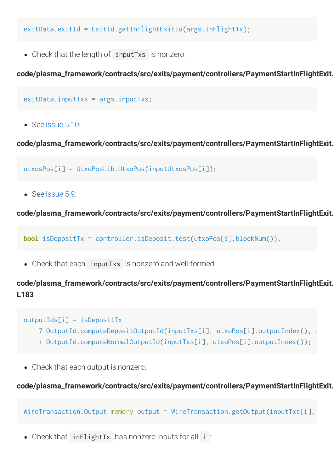exitData.exitId = ExitId.getInFlightExitId(args.inFlightTx);

Check that the length of inputTxs is nonzero:

**code/plasma\_framework/contracts/src/exits/payment/controllers/PaymentStartInFlightExit.**

```
exitData.inputTxs = args.inputTxs;
```
 $\bullet$  See [issue](http://localhost:1313/audits/2020/01/omisego-morevp/issue%205.10:) 5.10:

**code/plasma\_framework/contracts/src/exits/payment/controllers/PaymentStartInFlightExit.**

utxosPos[i] = UtxoPosLib.UtxoPos(inputUtxosPos[i]);

 $\bullet$  See [issue](http://localhost:1313/audits/2020/01/omisego-morevp/issue%205.9:) 5.9:

**code/plasma\_framework/contracts/src/exits/payment/controllers/PaymentStartInFlightExit.**

**bool** isDepositTx = controller.isDeposit.test(utxoPos[i].blockNum());

Check that each inputTxs is nonzero and well-formed:

**code/plasma\_framework/contracts/src/exits/payment/controllers/PaymentStartInFlightExit. L183**

```
outputIds[i] = isDepositTx
```
- ? OutputId.computeDepositOutputId(inputTxs[i], utxoPos[i].outputIndex(), u
- : OutputId.computeNormalOutputId(inputTxs[i], utxoPos[i].outputIndex());
- Check that each output is nonzero:

#### **code/plasma\_framework/contracts/src/exits/payment/controllers/PaymentStartInFlightExit.**

WireTransaction.Output memory output = WireTransaction.getOutput(inputTxs[i],

• Check that inFlightTx has nonzero inputs for all i: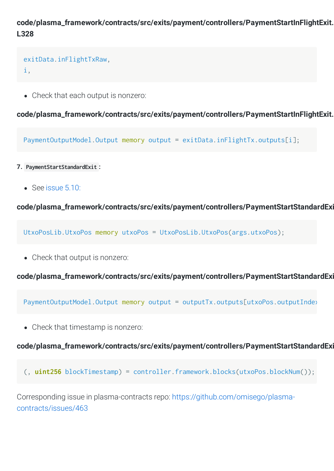# **code/plasma\_framework/contracts/src/exits/payment/controllers/PaymentStartInFlightExit. L328**

## exitData.inFlightTxRaw, i,

Check that each output is nonzero:

**code/plasma\_framework/contracts/src/exits/payment/controllers/PaymentStartInFlightExit.**

PaymentOutputModel.Output memory output = exitData.inFlightTx.outputs[i];

- **7. PaymentStartStandardExit :**
	- See [issue](http://localhost:1313/audits/2020/01/omisego-morevp/issue%205.10:) 5.10:

**code/plasma\_framework/contracts/src/exits/payment/controllers/PaymentStartStandardExi**

UtxoPosLib.UtxoPos memory utxoPos = UtxoPosLib.UtxoPos(args.utxoPos);

Check that output is nonzero:

**code/plasma\_framework/contracts/src/exits/payment/controllers/PaymentStartStandardExi**

PaymentOutputModel.Output memory output = outputTx.outputs[utxoPos.outputInde>

Check that timestamp is nonzero:

#### **code/plasma\_framework/contracts/src/exits/payment/controllers/PaymentStartStandardExi**

(, **uint256** blockTimestamp) = controller.framework.blocks(utxoPos.blockNum());

Corresponding issue in plasma-contracts repo: [https://github.com/omisego/plasma](https://github.com/omisego/plasma-contracts/issues/463)contracts/issues/463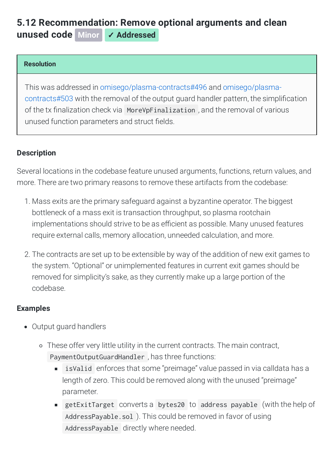# <span id="page-43-0"></span>**5.12 [Recommendation:](#page-43-0) Remove optional arguments and clean unused code Minor** ✓ **Addressed**

#### **Resolution**

This was addressed in [o](https://github.com/omisego/plasma-contracts/pull/503)[misego/plasma-contracts#49](https://github.com/omisego/plasma-contracts/pull/496)[6](https://github.com/omisego/plasma-contracts/pull/503) and omisego/plasmacontracts#503 with the removal of the output guard handler pattern, the simplication of the tx finalization check via MoreVpFinalization, and the removal of various unused function parameters and struct fields.

## **Description**

Several locations in the codebase feature unused arguments, functions, return values, and more. There are two primary reasons to remove these artifacts from the codebase:

- 1. Mass exits are the primary safeguard against a byzantine operator. The biggest bottleneck of a mass exit is transaction throughput, so plasma rootchain implementations should strive to be as efficient as possible. Many unused features require external calls, memory allocation, unneeded calculation, and more.
- 2. The contracts are set up to be extensible by way of the addition of new exit games to the system. "Optional" or unimplemented features in current exit games should be removed for simplicity's sake, as they currently make up a large portion of the codebase.

## **Examples**

- Output guard handlers
	- These offer very little utility in the current contracts. The main contract, PaymentOutputGuardHandler , has three functions:
		- isValid enforces that some "preimage" value passed in via calldata has a length of zero. This could be removed along with the unused "preimage" parameter.
		- getExitTarget converts a bytes20 to address payable (with the help of AddressPayable.sol ). This could be removed in favor of using AddressPayable directly where needed.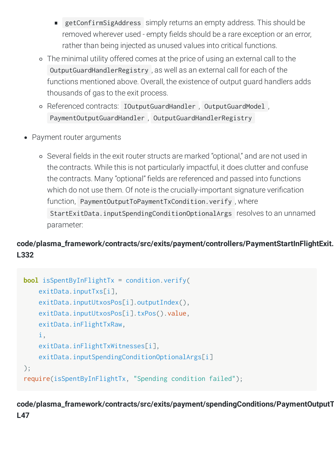- getConfirmSigAddress simply returns an empty address. This should be removed wherever used - empty fields should be a rare exception or an error, rather than being injected as unused values into critical functions.
- The minimal utility offered comes at the price of using an external call to the OutputGuardHandlerRegistry , as well as an external call for each of the functions mentioned above. Overall, the existence of output guard handlers adds thousands of gas to the exit process.
- Referenced contracts: IOutputGuardHandler , OutputGuardModel , PaymentOutputGuardHandler , OutputGuardHandlerRegistry
- Payment router arguments
	- o Several fields in the exit router structs are marked "optional," and are not used in the contracts. While this is not particularly impactful, it does clutter and confuse the contracts. Many "optional" fields are referenced and passed into functions which do not use them. Of note is the crucially-important signature verification function, PaymentOutputToPaymentTxCondition.verify , where StartExitData.inputSpendingConditionOptionalArgs resolves to an unnamed parameter:

# **code/plasma\_framework/contracts/src/exits/payment/controllers/PaymentStartInFlightExit. L332**

```
bool isSpentByInFlightTx = condition.verify(
     exitData.inputTxs[i],
     exitData.inputUtxosPos[i].outputIndex(),
     exitData.inputUtxosPos[i].txPos().value,
     exitData.inFlightTxRaw,
     i,
     exitData.inFlightTxWitnesses[i],
     exitData.inputSpendingConditionOptionalArgs[i]
);
require(isSpentByInFlightTx, "Spending condition failed");
```
# **code/plasma\_framework/contracts/src/exits/payment/spendingConditions/PaymentOutputT L47**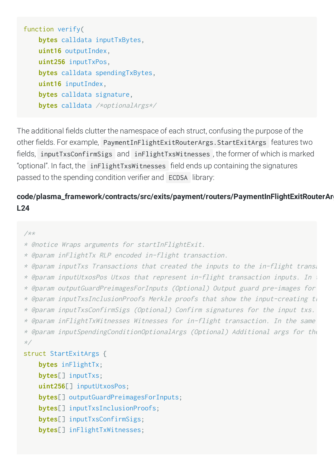```
function verify(
     bytes calldata inputTxBytes,
     uint16 outputIndex,
     uint256 inputTxPos,
     bytes calldata spendingTxBytes,
     uint16 inputIndex,
     bytes calldata signature,
     bytes calldata /*optionalArgs*/
```
The additional fields clutter the namespace of each struct, confusing the purpose of the other fields. For example, PaymentInFlightExitRouterArgs. StartExitArgs features two fields, inputTxsConfirmSigs and inFlightTxsWitnesses, the former of which is marked "optional". In fact, the  $inFlightTxswitness$  field ends up containing the signatures passed to the spending condition verifier and ECDSA library:

# **code/plasma\_framework/contracts/src/exits/payment/routers/PaymentInFlightExitRouterArg L24**

#### /\*\*

\* @notice Wraps arguments for startInFlightExit.

\* @param inFlightTx RLP encoded in-flight transaction.

```
* @param inputTxs Transactions that created the inputs to the in-flight transa
* @param inputUtxosPos Utxos that represent in-flight transaction inputs. In t
* @param outputGuardPreimagesForInputs (Optional) Output guard pre-images for 
* @param inputTxsInclusionProofs Merkle proofs that show the input-creating th
* @param inputTxsConfirmSigs (Optional) Confirm signatures for the input txs. 
* @param inFlightTxWitnesses Witnesses for in-flight transaction. In the same 
* @param inputSpendingConditionOptionalArgs (Optional) Additional args for the
*/
struct StartExitArgs {
    bytes inFlightTx;
    bytes[] inputTxs;
     uint256[] inputUtxosPos;
    bytes[] outputGuardPreimagesForInputs;
```
**bytes**[] inputTxsInclusionProofs;

**bytes**[] inputTxsConfirmSigs;

**bytes**[] inFlightTxWitnesses;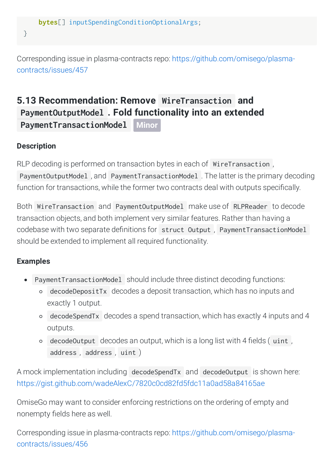}

Corresponding issue in plasma-contracts repo: [https://github.com/omisego/plasma](https://github.com/omisego/plasma-contracts/issues/457)contracts/issues/457

# <span id="page-46-0"></span>**5.13 Recommendation: Remove WireTransaction and PaymentOutputModel . Fold functionality into an extended**

**[PaymentTransactionModel](#page-46-0) Minor**

# **Description**

RLP decoding is performed on transaction bytes in each of WireTransaction , PaymentOutputModel , and PaymentTransactionModel . The latter is the primary decoding function for transactions, while the former two contracts deal with outputs specifically.

Both WireTransaction and PaymentOutputModel make use of RLPReader to decode transaction objects, and both implement very similar features. Rather than having a codebase with two separate definitions for struct Output . PaymentTransactionModel should be extended to implement all required functionality.

# **Examples**

- PaymentTransactionModel should include three distinct decoding functions:
	- decodeDepositTx decodes a deposit transaction, which has no inputs and exactly 1 output.
	- decodeSpendTx decodes a spend transaction, which has exactly 4 inputs and 4 outputs.
	- $\circ$  decodeOutput decodes an output, which is a long list with 4 fields (uint, address , address , uint )

A mock implementation including decodeSpendTx and decodeOutput is shown here: <https://gist.github.com/wadeAlexC/7820c0cd82fd5fdc11a0ad58a84165ae>

OmiseGo may want to consider enforcing restrictions on the ordering of empty and nonempty fields here as well.

Corresponding issue in plasma-contracts repo: [https://github.com/omisego/plasma](https://github.com/omisego/plasma-contracts/issues/456)contracts/issues/456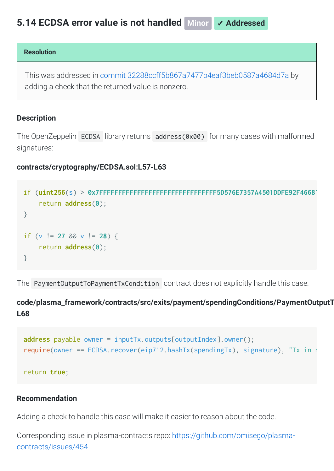#### <span id="page-47-0"></span>**Resolution**

This was addressed in commit [32288ccff5b867a7477b4eaf3beb0587a4684d7a](https://github.com/omisego/plasma-contracts/pull/459/commits/32288ccff5b867a7477b4eaf3beb0587a4684d7a) by adding a check that the returned value is nonzero.

#### **Description**

The OpenZeppelin ECDSA library returns address(0x00) for many cases with malformed signatures:

#### **contracts/cryptography/ECDSA.sol:L57-L63**

```
if (uint256(s) > 0x7FFFFFFFFFFFFFFFFFFFFFFFFFFFFFFF5D576E7357A4501DDFE92F46681
     return address(0);
}
if (v != 27 && v != 28) {
    return address(0);
}
```
The PaymentOutputToPaymentTxCondition contract does not explicitly handle this case:

# **code/plasma\_framework/contracts/src/exits/payment/spendingConditions/PaymentOutputT L68**

```
address payable owner = inputTx.outputs[outputIndex].owner();
require(owner == ECDSA.recover(eip712.hashTx(spendingTx), signature), "Tx in n
return true;
```
#### **Recommendation**

Adding a check to handle this case will make it easier to reason about the code.

Corresponding issue in plasma-contracts repo: [https://github.com/omisego/plasma](https://github.com/omisego/plasma-contracts/issues/454)contracts/issues/454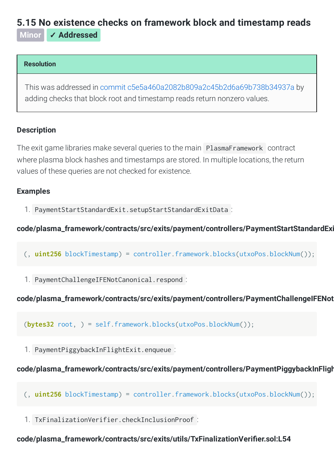# <span id="page-48-0"></span>**5.15 No existence checks on framework block and [timestamp](#page-48-0) reads**

**Minor** ✓ **Addressed**

## **Resolution**

This was addressed in commit [c5e5a460a2082b809a2c45b2d6a69b738b34937a](https://github.com/omisego/plasma-contracts/commit/c5e5a460a2082b809a2c45b2d6a69b738b34937a) by adding checks that block root and timestamp reads return nonzero values.

# **Description**

The exit game libraries make several queries to the main PlasmaFramework contract where plasma block hashes and timestamps are stored. In multiple locations, the return values of these queries are not checked for existence.

# **Examples**

1. PaymentStartStandardExit.setupStartStandardExitData :

# **code/plasma\_framework/contracts/src/exits/payment/controllers/PaymentStartStandardExi**

- (, **uint256** blockTimestamp) = controller.framework.blocks(utxoPos.blockNum());
- 1. PaymentChallengeIFENotCanonical.respond :

# **code/plasma\_framework/contracts/src/exits/payment/controllers/PaymentChallengeIFENot**

(**bytes32** root, ) = self.framework.blocks(utxoPos.blockNum());

1. PaymentPiggybackInFlightExit.enqueue :

# **code/plasma\_framework/contracts/src/exits/payment/controllers/PaymentPiggybackInFligh**

- (, **uint256** blockTimestamp) = controller.framework.blocks(utxoPos.blockNum());
- 1. TxFinalizationVerifier.checkInclusionProof :

## code/plasma\_framework/contracts/src/exits/utils/TxFinalizationVerifier.sol:L54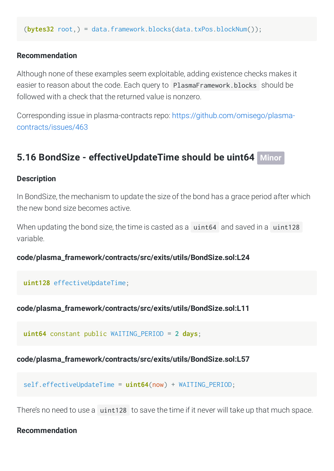(**bytes32** root,) = data.framework.blocks(data.txPos.blockNum());

#### **Recommendation**

Although none of these examples seem exploitable, adding existence checks makes it easier to reason about the code. Each query to PlasmaFramework.blocks should be followed with a check that the returned value is nonzero.

Corresponding issue in plasma-contracts repo: [https://github.com/omisego/plasma](https://github.com/omisego/plasma-contracts/issues/463)contracts/issues/463

# <span id="page-49-0"></span>**5.16 BondSize - [effectiveUpdateTime](#page-49-0) should be uint64 Minor**

#### **Description**

In BondSize, the mechanism to update the size of the bond has a grace period after which the new bond size becomes active.

When updating the bond size, the time is casted as a uint64 and saved in a uint128 variable.

#### **code/plasma\_framework/contracts/src/exits/utils/BondSize.sol:L24**

#### **uint128** effectiveUpdateTime;

**code/plasma\_framework/contracts/src/exits/utils/BondSize.sol:L11**

**uint64** constant public WAITING\_PERIOD = **2 days**;

**code/plasma\_framework/contracts/src/exits/utils/BondSize.sol:L57**

self.effectiveUpdateTime = **uint64**(now) + WAITING\_PERIOD;

There's no need to use a uint128 to save the time if it never will take up that much space.

#### **Recommendation**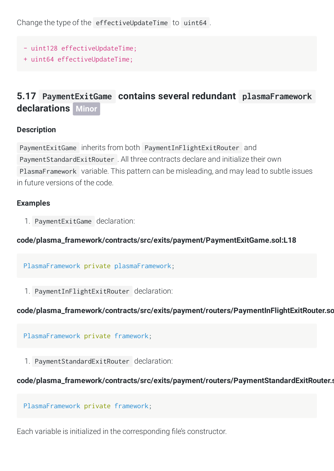Change the type of the effectiveUpdateTime to uint64 .

- uint128 effectiveUpdateTime;
- + uint64 effectiveUpdateTime;

# <span id="page-50-0"></span>**5.17 PaymentExitGame contains several redundant [plasmaFramework](#page-50-0) declarations Minor**

#### **Description**

PaymentExitGame inherits from both PaymentInFlightExitRouter and PaymentStandardExitRouter . All three contracts declare and initialize their own PlasmaFramework variable. This pattern can be misleading, and may lead to subtle issues in future versions of the code.

## **Examples**

1. PaymentExitGame declaration:

## **code/plasma\_framework/contracts/src/exits/payment/PaymentExitGame.sol:L18**

PlasmaFramework private plasmaFramework;

1. PaymentInFlightExitRouter declaration:

# **code/plasma\_framework/contracts/src/exits/payment/routers/PaymentInFlightExitRouter.so**

PlasmaFramework private framework;

1. PaymentStandardExitRouter declaration:

## **code/plasma\_framework/contracts/src/exits/payment/routers/PaymentStandardExitRouter.s**

PlasmaFramework private framework;

Each variable is initialized in the corresponding file's constructor.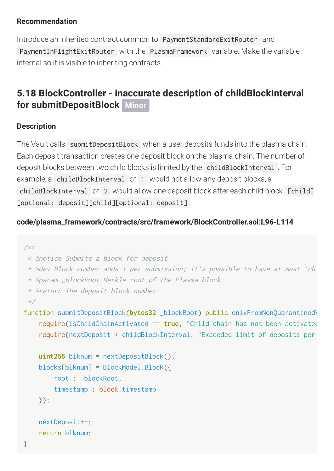## **Recommendation**

Introduce an inherited contract common to PaymentStandardExitRouter and PaymentInFlightExitRouter with the PlasmaFramework variable. Make the variable internal so it is visible to inheriting contracts.

# <span id="page-51-0"></span>**5.18 BlockController - inaccurate description of childBlockInterval for [submitDepositBlock](#page-51-0) Minor**

# **Description**

The Vault calls submitDepositBlock when a user deposits funds into the plasma chain. Each deposit transaction creates one deposit block on the plasma chain. The number of deposit blocks between two child blocks is limited by the childBlockInterval . For example, a childBlockInterval of 1 would not allow any deposit blocks, a childBlockInterval of 2 would allow one deposit block after each child block [child] [optional: deposit][child][optional: deposit].

# **code/plasma\_framework/contracts/src/framework/BlockController.sol:L96-L114**

```
/**
  * @notice Submits a block for deposit
  * @dev Block number adds 1 per submission; it's possible to have at most 'chi
  * @param _blockRoot Merkle root of the Plasma block
  * @return The deposit block number
  */
function submitDepositBlock(bytes32 _blockRoot) public onlyFromNonQuarantined\
     require(isChildChainActivated == true, "Child chain has not been activated
     require(nextDeposit < childBlockInterval, "Exceeded limit of deposits per 
     uint256 blknum = nextDepositBlock();
     blocks[blknum] = BlockModel.Block({
         root : _blockRoot,
         timestamp : block.timestamp
     });
     nextDeposit++;
     return blknum;
```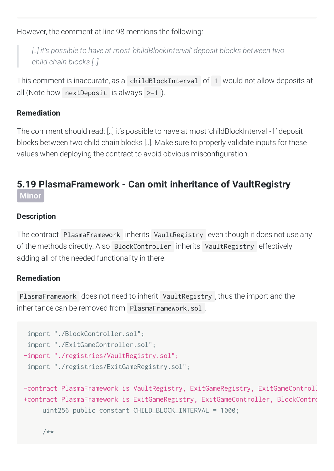However, the comment at line 98 mentions the following:

*[..] it's possible to have at most 'childBlockInterval' deposit blocks between two child chain blocks [..]*

This comment is inaccurate, as a childBlockInterval of 1 would not allow deposits at all (Note how nextDeposit is always >=1 ).

# **Remediation**

The comment should read: [..] it's possible to have at most 'childBlockInterval -1' deposit blocks between two child chain blocks [..]. Make sure to properly validate inputs for these values when deploying the contract to avoid obvious misconfiguration.

# <span id="page-52-0"></span>**5.19 [PlasmaFramework](#page-52-0) - Can omit inheritance of VaultRegistry Minor**

# **Description**

The contract PlasmaFramework inherits VaultRegistry even though it does not use any of the methods directly. Also BlockController inherits VaultRegistry effectively adding all of the needed functionality in there.

## **Remediation**

PlasmaFramework does not need to inherit VaultRegistry , thus the import and the inheritance can be removed from PlasmaFramework.sol .

```
 import "./BlockController.sol";
  import "./ExitGameController.sol";
-import "./registries/VaultRegistry.sol";
  import "./registries/ExitGameRegistry.sol";
-contract PlasmaFramework is VaultRegistry, ExitGameRegistry, ExitGameControll
```

```
+contract PlasmaFramework is ExitGameRegistry, ExitGameController, BlockContro
      uint256 public constant CHILD_BLOCK_INTERVAL = 1000;
```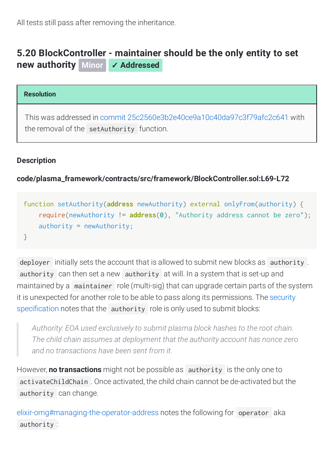All tests still pass after removing the inheritance.

# <span id="page-53-0"></span>**5.20 [BlockController](#page-53-0) - maintainer should be the only entity to set new authority Minor** ✓ **Addressed**

#### **Resolution**

This was addressed in commit [25c2560e3b2e40ce9a10c40da97c3f79afc2c641](https://github.com/omisego/plasma-contracts/pull/434/commits/25c2560e3b2e40ce9a10c40da97c3f79afc2c641) with the removal of the setAuthority function.

## **Description**

**code/plasma\_framework/contracts/src/framework/BlockController.sol:L69-L72**

```
function setAuthority(address newAuthority) external onlyFrom(authority) {
     require(newAuthority != address(0), "Authority address cannot be zero");
     authority = newAuthority;
}
```
deployer initially sets the account that is allowed to submit new blocks as authority. authority can then set a new authority at will. In a system that is set-up and maintained by a maintainer role (multi-sig) that can upgrade certain parts of the system it is unexpected for another role to be able to pass along its [permissions.](https://github.com/omisego/plasma-contracts/blob/422f77adabbcca0061cbf73df2ac12b73ed054f8/security/spec.md) The security specification notes that the authority role is only used to submit blocks:

*Authority: EOA used exclusively to submit plasma block hashes to the root chain. The child chain assumes at deployment that the authority account has nonce zero and no transactions have been sent from it.*

However, **no transactions** might not be possible as authority is the only one to activateChildChain . Once activated, the child chain cannot be de-activated but the authority can change.

[elixir-omg#managing-the-operator-address](https://github.com/omisego/elixir-omg#managing-the-operator-address) notes the following for operator aka authority :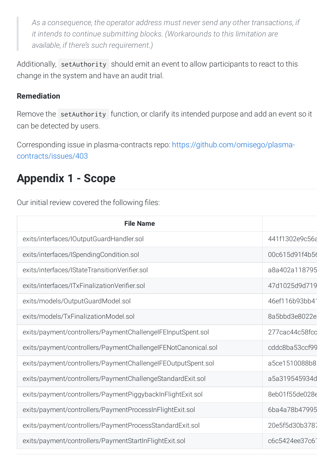*As a consequence, the operator address must never send any other transactions, if it intends to continue submitting blocks. (Workarounds to this limitation are available, if there's such requirement.)*

Additionally, setAuthority should emit an event to allow participants to react to this change in the system and have an audit trial.

# **Remediation**

Remove the setAuthority function, or clarify its intended purpose and add an event so it can be detected by users.

Corresponding issue in plasma-contracts repo: [https://github.com/omisego/plasma](https://github.com/omisego/plasma-contracts/issues/403)contracts/issues/403

# <span id="page-54-0"></span>**Appendix 1 - Scope**

Our initial review covered the following files:

| <b>File Name</b>                                              |                |
|---------------------------------------------------------------|----------------|
| exits/interfaces/IOutputGuardHandler.sol                      | 441f1302e9c56a |
| exits/interfaces/ISpendingCondition.sol                       | 00c615d91f4b56 |
| exits/interfaces/IStateTransitionVerifier.sol                 | a8a402a118795  |
| exits/interfaces/ITxFinalizationVerifier.sol                  | 47d1025d9d719  |
| exits/models/OutputGuardModel.sol                             | 46ef116b93bb41 |
| exits/models/TxFinalizationModel.sol                          | 8a5bbd3e8022e  |
| exits/payment/controllers/PaymentChallengelFEInputSpent.sol   | 277cac44c58fcc |
| exits/payment/controllers/PaymentChallengeIFENotCanonical.sol | cddc8ba53ccf99 |
| exits/payment/controllers/PaymentChallengelFEOutputSpent.sol  | a5ce1510088b8  |
| exits/payment/controllers/PaymentChallengeStandardExit.sol    | a5a319545934d  |
| exits/payment/controllers/PaymentPiggybackInFlightExit.sol    | 8eb01f55de028e |
| exits/payment/controllers/PaymentProcessInFlightExit.sol      | 6ba4a78b47995  |
| exits/payment/controllers/PaymentProcessStandardExit.sol      | 20e5f5d30b3787 |
| exits/payment/controllers/PaymentStartInFlightExit.sol        | c6c5424ee37c61 |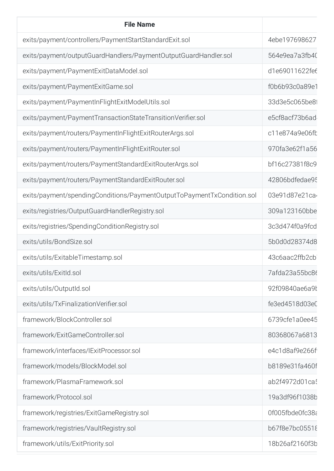| <b>File Name</b>                                                       |                 |
|------------------------------------------------------------------------|-----------------|
| exits/payment/controllers/PaymentStartStandardExit.sol                 | 4ebe197698627   |
| exits/payment/outputGuardHandlers/PaymentOutputGuardHandler.sol        | 564e9ea7a3fb40  |
| exits/payment/PaymentExitDataModel.sol                                 | d1e69011622fe6  |
| exits/payment/PaymentExitGame.sol                                      | f0b6b93c0a89e1  |
| exits/payment/PaymentInFlightExitModelUtils.sol                        | 33d3e5c065be81  |
| exits/payment/PaymentTransactionStateTransitionVerifier.sol            | e5cf8acf73b6ad  |
| exits/payment/routers/PaymentInFlightExitRouterArgs.sol                | c11e874a9e06fb  |
| exits/payment/routers/PaymentInFlightExitRouter.sol                    | 970fa3e62f1a56  |
| exits/payment/routers/PaymentStandardExitRouterArgs.sol                | bf16c27381f8c9  |
| exits/payment/routers/PaymentStandardExitRouter.sol                    | 42806bdfedae95  |
| exits/payment/spendingConditions/PaymentOutputToPaymentTxCondition.sol | 03e91d87e21ca   |
| exits/registries/OutputGuardHandlerRegistry.sol                        | 309a123160bbe   |
| exits/registries/SpendingConditionRegistry.sol                         | 3c3d474f0a9fcd  |
| exits/utils/BondSize.sol                                               | 5b0d0d28374d8   |
| exits/utils/ExitableTimestamp.sol                                      | 43c6aac2ffb2cb  |
| exits/utils/ExitId.sol                                                 | 7afda23a55bc86  |
| exits/utils/OutputId.sol                                               | 92f09840ae6a9t  |
| exits/utils/TxFinalizationVerifier.sol                                 | fe3ed4518d03eC  |
| framework/BlockController.sol                                          | 6739cfe1a0ee45  |
| framework/ExitGameController.sol                                       | 80368067a6813   |
| framework/interfaces/IExitProcessor.sol                                | e4c1d8af9e266f  |
| framework/models/BlockModel.sol                                        | b8189e31fa460f  |
| framework/PlasmaFramework.sol                                          | ab2f4972d01ca!  |
| framework/Protocol.sol                                                 | 19a3df96f1038b  |
| framework/registries/ExitGameRegistry.sol                              | Of005fbde0fc38a |
| framework/registries/VaultRegistry.sol                                 | b67f8e7bc05518  |
| framework/utils/ExitPriority.sol                                       | 18b26af2160f3b  |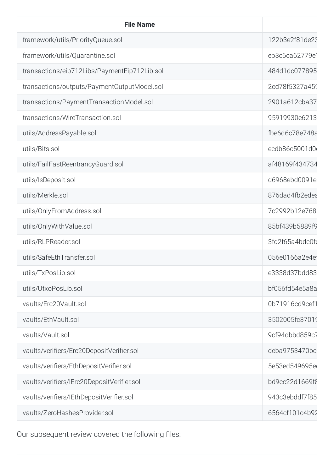| <b>File Name</b>                             |                            |
|----------------------------------------------|----------------------------|
| framework/utils/PriorityQueue.sol            | 122b3e2f81de23             |
| framework/utils/Quarantine.sol               | eb3c6ca62779e <sup>2</sup> |
| transactions/eip712Libs/PaymentEip712Lib.sol | 484d1dc077895              |
| transactions/outputs/PaymentOutputModel.sol  | 2cd78f5327a459             |
| transactions/PaymentTransactionModel.sol     | 2901a612cba37              |
| transactions/WireTransaction.sol             | 95919930e6213              |
| utils/AddressPayable.sol                     | fbe6d6c78e748a             |
| utils/Bits.sol                               | ecdb86c5001d0              |
| utils/FailFastReentrancyGuard.sol            | af48169f434734             |
| utils/IsDeposit.sol                          | d6968ebd0091e              |
| utils/Merkle.sol                             | 876dad4fb2edea             |
| utils/OnlyFromAddress.sol                    | 7c2992b12e768              |
| utils/OnlyWithValue.sol                      | 85bf439b5889f9             |
| utils/RLPReader.sol                          | 3fd2f65a4bdc0fd            |
| utils/SafeEthTransfer.sol                    | 056e0166a2e4et             |
| utils/TxPosLib.sol                           | e3338d37bdd83              |
| utils/UtxoPosLib.sol                         | bf056fd54e5a8a             |
| vaults/Erc20Vault.sol                        | 0b71916cd9cef1             |
| vaults/EthVault.sol                          | 3502005fc37019             |
| vaults/Vault.sol                             | 9cf94dbbd859c7             |
| vaults/verifiers/Erc20DepositVerifier.sol    | deba9753470bc              |
| vaults/verifiers/EthDepositVerifier.sol      | 5e53ed549695e              |
| vaults/verifiers/IErc20DepositVerifier.sol   | bd9cc22d1669f8             |
| vaults/verifiers/IEthDepositVerifier.sol     | 943c3ebddf7f85             |
| vaults/ZeroHashesProvider.sol                | 6564cf101c4b92             |

Our subsequent review covered the following files: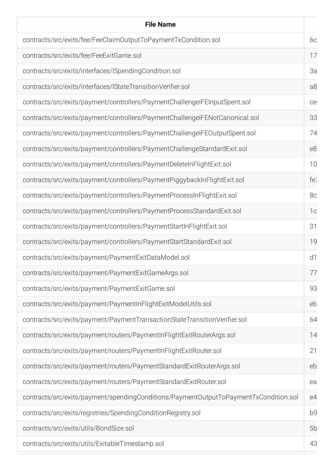| <b>File Name</b>                                                                     |                 |
|--------------------------------------------------------------------------------------|-----------------|
| contracts/src/exits/fee/FeeClaimOutputToPaymentTxCondition.sol                       | 6c              |
| contracts/src/exits/fee/FeeExitGame.sol                                              | 17              |
| contracts/src/exits/interfaces/ISpendingCondition.sol                                | 3a              |
| contracts/src/exits/interfaces/IStateTransitionVerifier.sol                          | a8              |
| contracts/src/exits/payment/controllers/PaymentChallengelFEInputSpent.sol            | ce              |
| contracts/src/exits/payment/controllers/PaymentChallengeIFENotCanonical.sol          | 33              |
| contracts/src/exits/payment/controllers/PaymentChallengelFEOutputSpent.sol           | 74              |
| contracts/src/exits/payment/controllers/PaymentChallengeStandardExit.sol             | e8              |
| contracts/src/exits/payment/controllers/PaymentDeleteInFlightExit.sol                | 10              |
| contracts/src/exits/payment/controllers/PaymentPiggybackInFlightExit.sol             | fe <sub>1</sub> |
| contracts/src/exits/payment/controllers/PaymentProcessInFlightExit.sol               | 8c              |
| contracts/src/exits/payment/controllers/PaymentProcessStandardExit.sol               | 1 <sub>c</sub>  |
| contracts/src/exits/payment/controllers/PaymentStartInFlightExit.sol                 | 31              |
| contracts/src/exits/payment/controllers/PaymentStartStandardExit.sol                 | 19              |
| contracts/src/exits/payment/PaymentExitDataModel.sol                                 | d1              |
| contracts/src/exits/payment/PaymentExitGameArgs.sol                                  | 77              |
| contracts/src/exits/payment/PaymentExitGame.sol                                      | 93              |
| contracts/src/exits/payment/PaymentInFlightExitModelUtils.sol                        | eb              |
| contracts/src/exits/payment/PaymentTransactionStateTransitionVerifier.sol            | 64              |
| contracts/src/exits/payment/routers/PaymentInFlightExitRouterArgs.sol                | 14              |
| contracts/src/exits/payment/routers/PaymentInFlightExitRouter.sol                    | 21              |
| contracts/src/exits/payment/routers/PaymentStandardExitRouterArgs.sol                | eb              |
| contracts/src/exits/payment/routers/PaymentStandardExitRouter.sol                    | ea              |
| contracts/src/exits/payment/spendingConditions/PaymentOutputToPaymentTxCondition.sol | e4              |
| contracts/src/exits/registries/SpendingConditionRegistry.sol                         | b <sub>9</sub>  |
| contracts/src/exits/utils/BondSize.sol                                               | 5b              |
| contracts/src/exits/utils/ExitableTimestamp.sol                                      | 43              |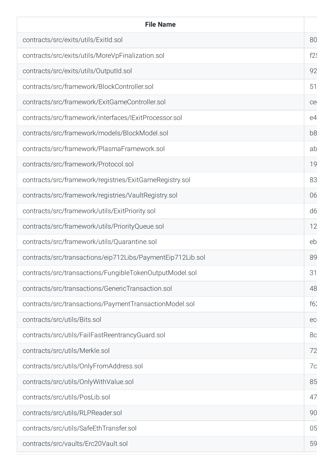| <b>File Name</b>                                           |                |
|------------------------------------------------------------|----------------|
| contracts/src/exits/utils/ExitId.sol                       | 80             |
| contracts/src/exits/utils/MoreVpFinalization.sol           | f2!            |
| contracts/src/exits/utils/OutputId.sol                     | 92             |
| contracts/src/framework/BlockController.sol                | 51             |
| contracts/src/framework/ExitGameController.sol             | ce             |
| contracts/src/framework/interfaces/IExitProcessor.sol      | e4             |
| contracts/src/framework/models/BlockModel.sol              | b <sub>8</sub> |
| contracts/src/framework/PlasmaFramework.sol                | ab             |
| contracts/src/framework/Protocol.sol                       | 19             |
| contracts/src/framework/registries/ExitGameRegistry.sol    | 83             |
| contracts/src/framework/registries/VaultRegistry.sol       | 06             |
| contracts/src/framework/utils/ExitPriority.sol             | d <sub>6</sub> |
| contracts/src/framework/utils/PriorityQueue.sol            | 12             |
| contracts/src/framework/utils/Quarantine.sol               | eb             |
| contracts/src/transactions/eip712Libs/PaymentEip712Lib.sol | 89             |
| contracts/src/transactions/FungibleTokenOutputModel.sol    | 31             |
| contracts/src/transactions/GenericTransaction.sol          | 48             |
| contracts/src/transactions/PaymentTransactionModel.sol     | f62            |
| contracts/src/utils/Bits.sol                               | ec             |
| contracts/src/utils/FailFastReentrancyGuard.sol            | 8c             |
| contracts/src/utils/Merkle.sol                             | 72             |
| contracts/src/utils/OnlyFromAddress.sol                    | 7c             |
| contracts/src/utils/OnlyWithValue.sol                      | 85             |
| contracts/src/utils/PosLib.sol                             | 47             |
| contracts/src/utils/RLPReader.sol                          | 90             |
| contracts/src/utils/SafeEthTransfer.sol                    | 05             |
| contracts/src/vaults/Erc20Vault.sol                        | 59             |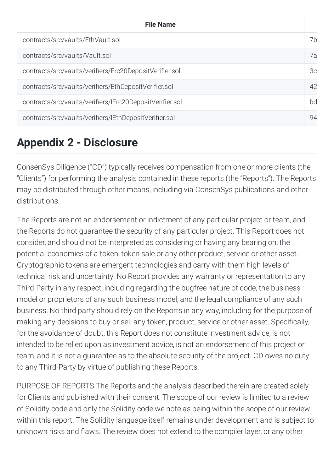| <b>File Name</b>                                         |    |
|----------------------------------------------------------|----|
| contracts/src/vaults/EthVault.sol                        | 7h |
| contracts/src/vaults/Vault.sol                           | 7a |
| contracts/src/vaults/verifiers/Erc20DepositVerifier.sol  | 3c |
| contracts/src/vaults/verifiers/EthDepositVerifier.sol    | 42 |
| contracts/src/vaults/verifiers/IErc20DepositVerifier.sol | bd |
| contracts/src/vaults/verifiers/IEthDepositVerifier.sol   | 94 |

# <span id="page-59-0"></span>**Appendix 2 - Disclosure**

ConsenSys Diligence ("CD") typically receives compensation from one or more clients (the "Clients") for performing the analysis contained in these reports (the "Reports"). The Reports may be distributed through other means, including via ConsenSys publications and other distributions.

The Reports are not an endorsement or indictment of any particular project or team, and the Reports do not guarantee the security of any particular project. This Report does not consider, and should not be interpreted as considering or having any bearing on, the potential economics of a token, token sale or any other product, service or other asset. Cryptographic tokens are emergent technologies and carry with them high levels of technical risk and uncertainty. No Report provides any warranty or representation to any Third-Party in any respect, including regarding the bugfree nature of code, the business model or proprietors of any such business model, and the legal compliance of any such business. No third party should rely on the Reports in any way, including for the purpose of making any decisions to buy or sell any token, product, service or other asset. Specifically, for the avoidance of doubt, this Report does not constitute investment advice, is not intended to be relied upon as investment advice, is not an endorsement of this project or team, and it is not a guarantee as to the absolute security of the project. CD owes no duty to any Third-Party by virtue of publishing these Reports.

PURPOSE OF REPORTS The Reports and the analysis described therein are created solely for Clients and published with their consent. The scope of our review is limited to a review of Solidity code and only the Solidity code we note as being within the scope of our review within this report. The Solidity language itself remains under development and is subject to unknown risks and flaws. The review does not extend to the compiler layer, or any other